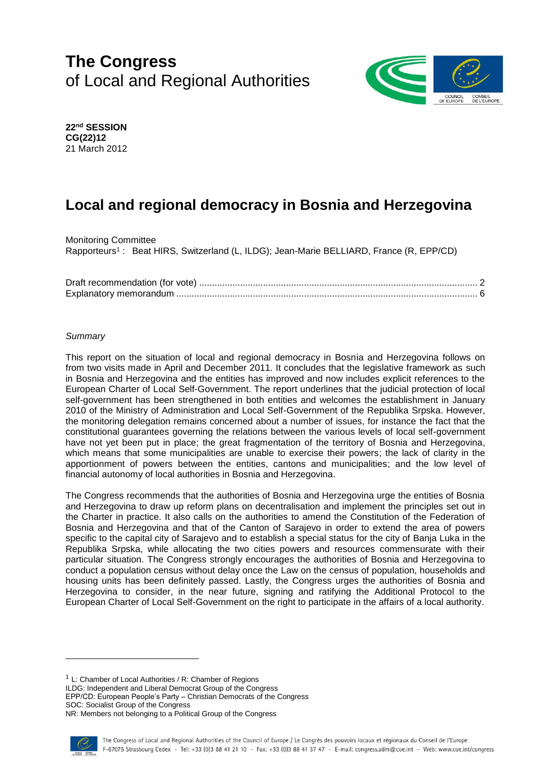# **The Congress** of Local and Regional Authorities



**22nd SESSION CG(22)12** 21 March 2012

# **Local and regional democracy in Bosnia and Herzegovina**

Monitoring Committee Rapporteurs<sup>1</sup>: Beat HIRS, Switzerland (L, ILDG); Jean-Marie BELLIARD, France (R, EPP/CD)

# *Summary*

This report on the situation of local and regional democracy in Bosnia and Herzegovina follows on from two visits made in April and December 2011. It concludes that the legislative framework as such in Bosnia and Herzegovina and the entities has improved and now includes explicit references to the European Charter of Local Self-Government. The report underlines that the judicial protection of local self-government has been strengthened in both entities and welcomes the establishment in January 2010 of the Ministry of Administration and Local Self-Government of the Republika Srpska. However, the monitoring delegation remains concerned about a number of issues, for instance the fact that the constitutional guarantees governing the relations between the various levels of local self-government have not yet been put in place; the great fragmentation of the territory of Bosnia and Herzegovina, which means that some municipalities are unable to exercise their powers; the lack of clarity in the apportionment of powers between the entities, cantons and municipalities; and the low level of financial autonomy of local authorities in Bosnia and Herzegovina.

The Congress recommends that the authorities of Bosnia and Herzegovina urge the entities of Bosnia and Herzegovina to draw up reform plans on decentralisation and implement the principles set out in the Charter in practice. It also calls on the authorities to amend the Constitution of the Federation of Bosnia and Herzegovina and that of the Canton of Sarajevo in order to extend the area of powers specific to the capital city of Sarajevo and to establish a special status for the city of Banja Luka in the Republika Srpska, while allocating the two cities powers and resources commensurate with their particular situation. The Congress strongly encourages the authorities of Bosnia and Herzegovina to conduct a population census without delay once the Law on the census of population, households and housing units has been definitely passed. Lastly, the Congress urges the authorities of Bosnia and Herzegovina to consider, in the near future, signing and ratifying the Additional Protocol to the European Charter of Local Self-Government on the right to participate in the affairs of a local authority.

<sup>1</sup> L: Chamber of Local Authorities / R: Chamber of Regions

ILDG: Independent and Liberal Democrat Group of the Congress

EPP/CD: European People's Party – Christian Democrats of the Congress

SOC: Socialist Group of the Congress

NR: Members not belonging to a Political Group of the Congress

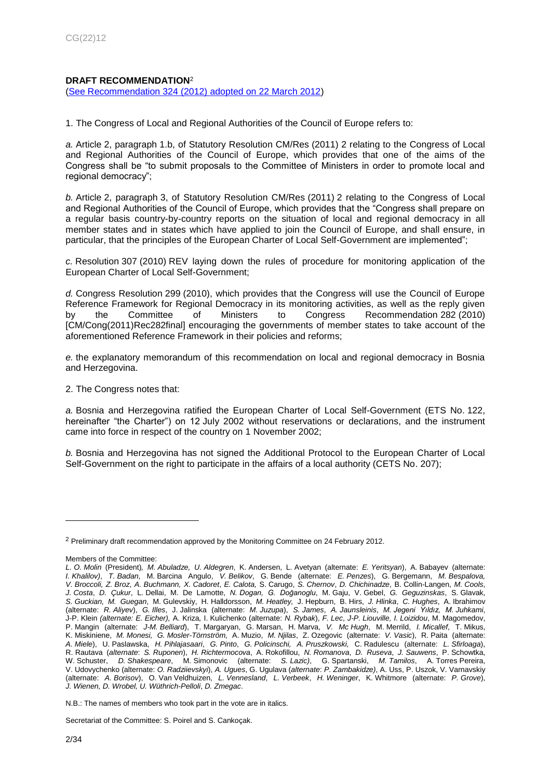# <span id="page-1-0"></span>**DRAFT RECOMMENDATION**<sup>2</sup>

[\(See Recommendation 324 \(2012\) adopted on 22 March 2012\)](https://wcd.coe.int/ViewDoc.jsp?id=1925863&Site=Congress&BackColorInternet=C3C3C3&BackColorIntranet=CACC9A&BackColorLogged=EFEA9C)

1. The Congress of Local and Regional Authorities of the Council of Europe refers to:

*a.* Article 2, paragraph 1.b, of Statutory Resolution CM/Res (2011) 2 relating to the Congress of Local and Regional Authorities of the Council of Europe, which provides that one of the aims of the Congress shall be "to submit proposals to the Committee of Ministers in order to promote local and regional democracy";

*b.* Article 2, paragraph 3, of Statutory Resolution CM/Res (2011) 2 relating to the Congress of Local and Regional Authorities of the Council of Europe, which provides that the "Congress shall prepare on a regular basis country-by-country reports on the situation of local and regional democracy in all member states and in states which have applied to join the Council of Europe, and shall ensure, in particular, that the principles of the European Charter of Local Self-Government are implemented";

*c.* Resolution 307 (2010) REV laying down the rules of procedure for monitoring application of the European Charter of Local Self-Government;

*d.* Congress Resolution 299 (2010), which provides that the Congress will use the Council of Europe Reference Framework for Regional Democracy in its monitoring activities, as well as the reply given by the Committee of Ministers to Congress Recommendation 282 (2010) [CM/Cong(2011)Rec282final] encouraging the governments of member states to take account of the aforementioned Reference Framework in their policies and reforms;

*e.* the explanatory memorandum of this recommendation on local and regional democracy in Bosnia and Herzegovina.

2. The Congress notes that:

*a.* Bosnia and Herzegovina ratified the European Charter of Local Self-Government (ETS No. 122, hereinafter "the Charter") on 12 July 2002 without reservations or declarations, and the instrument came into force in respect of the country on 1 November 2002;

*b.* Bosnia and Herzegovina has not signed the Additional Protocol to the European Charter of Local Self-Government on the right to participate in the affairs of a local authority (CETS No. 207);

Secretariat of the Committee: S. Poirel and S. Cankoçak.

<sup>2</sup> Preliminary draft recommendation approved by the Monitoring Committee on 24 February 2012.

Members of the Committee:

*L. O. Molin* (President)*, M. Abuladze, U. Aldegren*, K. Andersen, L. Avetyan (alternate: *E. Yeritsyan*), A. Babayev (alternate: *I. Khalilov)*, *T. Badan*, M. Barcina Angulo, *V. Belikov*, G. Bende (alternate: *E. Penzes*), G. Bergemann, *M. Bespalova,* V. Broccoli, Z. Broz, A. Buchmann, X. Cadoret, E. Calota, S. Carugo, S. Chernov, D. Chichinadze, B. Collin-Langen, M. Cools, *J. Costa*, *D. Çukur*, L. Dellai, M. De Lamotte, *N. Dogan, G. Doğanoglu*, M. Gaju, V. Gebel, *G. Geguzinskas*, S. Glavak, *S. Guckian, M. Guegan*, M. Gulevskiy, H. Halldorsson, *M. Heatley,* J. Hepburn, B. Hirs, *J. Hlinka*, *C. Hughes*, A. Ibrahimov (alternate: *R. Aliyev*), *G. Illes*, J. Jalinska (alternate: *M. Juzupa*), *S. James*, *A. Jaunsleinis*, *M. Jegeni Yıldız, M. Juhkami*, J-P. Klein *(alternate: E. Eicher),* A. Kriza*,* I. Kulichenko (alternate: *N. Rybak*), *F. Lec*, *J-P. Liouville, I. Loizidou*, M. Magomedov, P. Mangin (alternate: *J-M. Belliard*), T. Margaryan, G. Marsan, H. Marva, *V. Mc Hugh*, M. Merrild, *I. Micallef*, T. Mikus, K. Miskiniene, *M. Monesi, G. Mosler-Törnström,* A. Muzio, *M. Njilas*, Z. Ozegovic (alternate: *V. Vasic*), R. Paita (alternate: *A. Miele*), U. Paslawska, *H. Pihlajasaari*, *G. Pinto*, *G. Policinschi, A. Pruszkowski,* C. Radulescu (alternate: *L. Sfirloaga*), R. Rautava (*alternate*: *S. Ruponen*), *H. Richtermocova*, A. Rokofillou, *N. Romanova*, *D. Ruseva*, *J. Sauwens*, P. Schowtka, W. Schuster, *D. Shakespeare*, M. Simonovic (alternate: *S. Lazic)*, G. Spartanski, *M. Tamilos*, A. Torres Pereira, V. Udovychenko (alternate: *O. Radziievskyi*), *A. Ugues*, G. Ugulava (*alternate*: *P. Zambakidze)*, A. Uss, P. Uszok, V. Varnavskiy (alternate: *A. Borisov*), O. Van Veldhuizen, *L. Vennesland*, *L. Verbeek*, *H. Weninger*, K. Whitmore (alternate: *P. Grove*), *J. Wienen, D. Wrobel, U. Wüthrich-Pelloli*, *D. Zmegac*.

N.B.: The names of members who took part in the vote are in italics.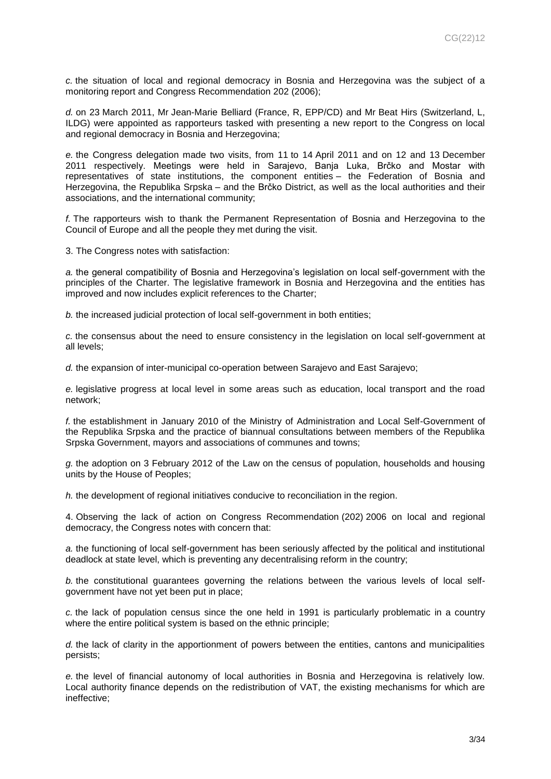*c.* the situation of local and regional democracy in Bosnia and Herzegovina was the subject of a monitoring report and Congress Recommendation 202 (2006);

*d.* on 23 March 2011, Mr Jean-Marie Belliard (France, R, EPP/CD) and Mr Beat Hirs (Switzerland, L, ILDG) were appointed as rapporteurs tasked with presenting a new report to the Congress on local and regional democracy in Bosnia and Herzegovina;

*e.* the Congress delegation made two visits, from 11 to 14 April 2011 and on 12 and 13 December 2011 respectively. Meetings were held in Sarajevo, Banja Luka, Brčko and Mostar with representatives of state institutions, the component entities – the Federation of Bosnia and Herzegovina, the Republika Srpska – and the Brčko District, as well as the local authorities and their associations, and the international community;

*f.* The rapporteurs wish to thank the Permanent Representation of Bosnia and Herzegovina to the Council of Europe and all the people they met during the visit.

3. The Congress notes with satisfaction:

*a.* the general compatibility of Bosnia and Herzegovina's legislation on local self-government with the principles of the Charter. The legislative framework in Bosnia and Herzegovina and the entities has improved and now includes explicit references to the Charter;

*b.* the increased judicial protection of local self-government in both entities;

*c.* the consensus about the need to ensure consistency in the legislation on local self-government at all levels;

d. the expansion of inter-municipal co-operation between Sarajevo and East Sarajevo;

*e.* legislative progress at local level in some areas such as education, local transport and the road network;

*f.* the establishment in January 2010 of the Ministry of Administration and Local Self-Government of the Republika Srpska and the practice of biannual consultations between members of the Republika Srpska Government, mayors and associations of communes and towns;

*g.* the adoption on 3 February 2012 of the Law on the census of population, households and housing units by the House of Peoples;

*h.* the development of regional initiatives conducive to reconciliation in the region.

4. Observing the lack of action on Congress Recommendation (202) 2006 on local and regional democracy, the Congress notes with concern that:

*a.* the functioning of local self-government has been seriously affected by the political and institutional deadlock at state level, which is preventing any decentralising reform in the country;

*b.* the constitutional guarantees governing the relations between the various levels of local selfgovernment have not yet been put in place;

*c.* the lack of population census since the one held in 1991 is particularly problematic in a country where the entire political system is based on the ethnic principle:

*d.* the lack of clarity in the apportionment of powers between the entities, cantons and municipalities persists;

*e.* the level of financial autonomy of local authorities in Bosnia and Herzegovina is relatively low. Local authority finance depends on the redistribution of VAT, the existing mechanisms for which are ineffective;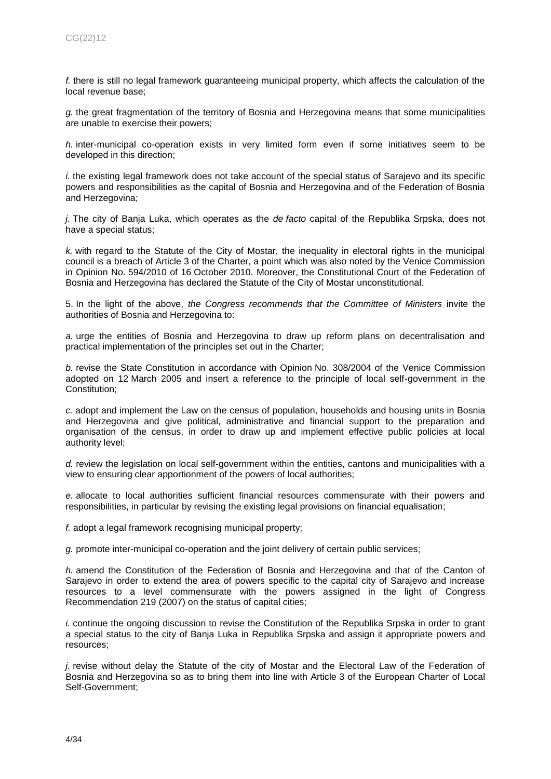*f.* there is still no legal framework guaranteeing municipal property, which affects the calculation of the local revenue base;

*g.* the great fragmentation of the territory of Bosnia and Herzegovina means that some municipalities are unable to exercise their powers;

*h.* inter-municipal co-operation exists in very limited form even if some initiatives seem to be developed in this direction;

*i.* the existing legal framework does not take account of the special status of Sarajevo and its specific powers and responsibilities as the capital of Bosnia and Herzegovina and of the Federation of Bosnia and Herzegovina;

*j.* The city of Banja Luka, which operates as the *de facto* capital of the Republika Srpska, does not have a special status;

*k.* with regard to the Statute of the City of Mostar, the inequality in electoral rights in the municipal council is a breach of Article 3 of the Charter, a point which was also noted by the Venice Commission in Opinion No. 594/2010 of 16 October 2010. Moreover, the Constitutional Court of the Federation of Bosnia and Herzegovina has declared the Statute of the City of Mostar unconstitutional.

5. In the light of the above, *the Congress recommends that the Committee of Ministers* invite the authorities of Bosnia and Herzegovina to:

*a.* urge the entities of Bosnia and Herzegovina to draw up reform plans on decentralisation and practical implementation of the principles set out in the Charter;

*b.* revise the State Constitution in accordance with Opinion No. 308/2004 of the Venice Commission adopted on 12 March 2005 and insert a reference to the principle of local self-government in the Constitution;

*c.* adopt and implement the Law on the census of population, households and housing units in Bosnia and Herzegovina and give political, administrative and financial support to the preparation and organisation of the census, in order to draw up and implement effective public policies at local authority level;

*d.* review the legislation on local self-government within the entities, cantons and municipalities with a view to ensuring clear apportionment of the powers of local authorities;

*e.* allocate to local authorities sufficient financial resources commensurate with their powers and responsibilities, in particular by revising the existing legal provisions on financial equalisation;

*f.* adopt a legal framework recognising municipal property;

*g.* promote inter-municipal co-operation and the joint delivery of certain public services;

*h.* amend the Constitution of the Federation of Bosnia and Herzegovina and that of the Canton of Sarajevo in order to extend the area of powers specific to the capital city of Sarajevo and increase resources to a level commensurate with the powers assigned in the light of Congress Recommendation 219 (2007) on the status of capital cities;

*i.* continue the ongoing discussion to revise the Constitution of the Republika Srpska in order to grant a special status to the city of Banja Luka in Republika Srpska and assign it appropriate powers and resources;

*j.* revise without delay the Statute of the city of Mostar and the Electoral Law of the Federation of Bosnia and Herzegovina so as to bring them into line with Article 3 of the European Charter of Local Self-Government;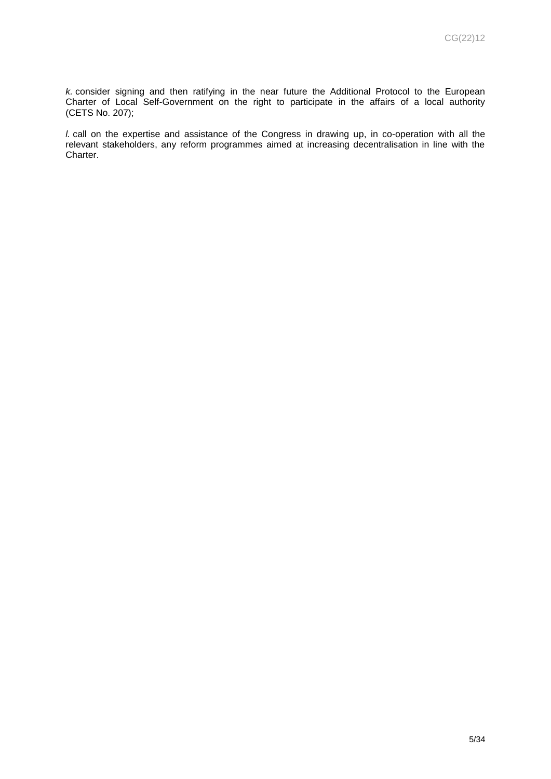*k.* consider signing and then ratifying in the near future the Additional Protocol to the European Charter of Local Self-Government on the right to participate in the affairs of a local authority (CETS No. 207);

*l.* call on the expertise and assistance of the Congress in drawing up, in co-operation with all the relevant stakeholders, any reform programmes aimed at increasing decentralisation in line with the Charter.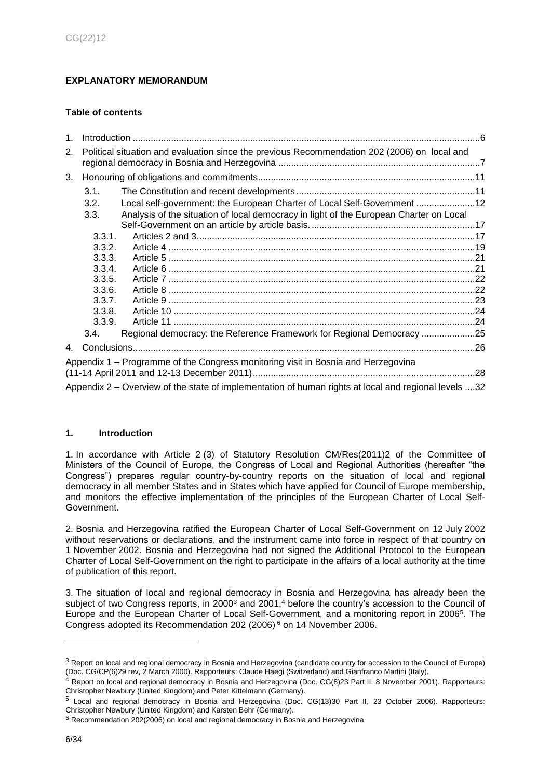# <span id="page-5-0"></span>**EXPLANATORY MEMORANDUM**

# **Table of contents**

| $1_{-}$ |                                                                                                      |                                                                                        |  |  |  |
|---------|------------------------------------------------------------------------------------------------------|----------------------------------------------------------------------------------------|--|--|--|
| 2.      | Political situation and evaluation since the previous Recommendation 202 (2006) on local and         |                                                                                        |  |  |  |
| 3.      |                                                                                                      |                                                                                        |  |  |  |
|         | 3.1.                                                                                                 |                                                                                        |  |  |  |
|         | 3.2.                                                                                                 | Local self-government: the European Charter of Local Self-Government 12                |  |  |  |
|         | 3.3.                                                                                                 | Analysis of the situation of local democracy in light of the European Charter on Local |  |  |  |
|         |                                                                                                      |                                                                                        |  |  |  |
|         | 3.3.1.                                                                                               |                                                                                        |  |  |  |
|         | 3.3.2.                                                                                               |                                                                                        |  |  |  |
|         | 3.3.3.                                                                                               |                                                                                        |  |  |  |
|         | 3.3.4.                                                                                               |                                                                                        |  |  |  |
|         | 3.3.5.                                                                                               |                                                                                        |  |  |  |
|         | 3.3.6.                                                                                               |                                                                                        |  |  |  |
|         | 3.3.7.                                                                                               |                                                                                        |  |  |  |
|         | 3.3.8.                                                                                               |                                                                                        |  |  |  |
|         | 3.3.9.                                                                                               |                                                                                        |  |  |  |
|         | 3.4.                                                                                                 | Regional democracy: the Reference Framework for Regional Democracy 25                  |  |  |  |
|         |                                                                                                      |                                                                                        |  |  |  |
|         |                                                                                                      | Appendix 1 – Programme of the Congress monitoring visit in Bosnia and Herzegovina      |  |  |  |
|         |                                                                                                      |                                                                                        |  |  |  |
|         | Appendix 2 – Overview of the state of implementation of human rights at local and regional levels 32 |                                                                                        |  |  |  |

### <span id="page-5-1"></span>**1. Introduction**

1. In accordance with Article 2 (3) of Statutory Resolution CM/Res(2011)2 of the Committee of Ministers of the Council of Europe, the Congress of Local and Regional Authorities (hereafter "the Congress") prepares regular country-by-country reports on the situation of local and regional democracy in all member States and in States which have applied for Council of Europe membership, and monitors the effective implementation of the principles of the European Charter of Local Self-Government.

2. Bosnia and Herzegovina ratified the European Charter of Local Self-Government on 12 July 2002 without reservations or declarations, and the instrument came into force in respect of that country on 1 November 2002. Bosnia and Herzegovina had not signed the Additional Protocol to the European Charter of Local Self-Government on the right to participate in the affairs of a local authority at the time of publication of this report.

3. The situation of local and regional democracy in Bosnia and Herzegovina has already been the subject of two Congress reports, in 2000<sup>3</sup> and 2001,<sup>4</sup> before the country's accession to the Council of Europe and the European Charter of Local Self-Government, and a monitoring report in 2006<sup>5</sup> . The Congress adopted its Recommendation 202 (2006) <sup>6</sup> on 14 November 2006.

<sup>&</sup>lt;sup>3</sup> Report on local and regional democracy in Bosnia and Herzegovina (candidate country for accession to the Council of Europe) (Doc. CG/CP(6)29 rev, 2 March 2000). Rapporteurs: Claude Haegi (Switzerland) and Gianfranco Martini (Italy).

<sup>4</sup> Report on local and regional democracy in Bosnia and Herzegovina (Doc. CG(8)23 Part II, 8 November 2001). Rapporteurs: Christopher Newbury (United Kingdom) and Peter Kittelmann (Germany).

<sup>5</sup> Local and regional democracy in Bosnia and Herzegovina (Doc. CG(13)30 Part II, 23 October 2006). Rapporteurs: Christopher Newbury (United Kingdom) and Karsten Behr (Germany).

 $6$  Recommendation 202(2006) on local and regional democracy in Bosnia and Herzegovina.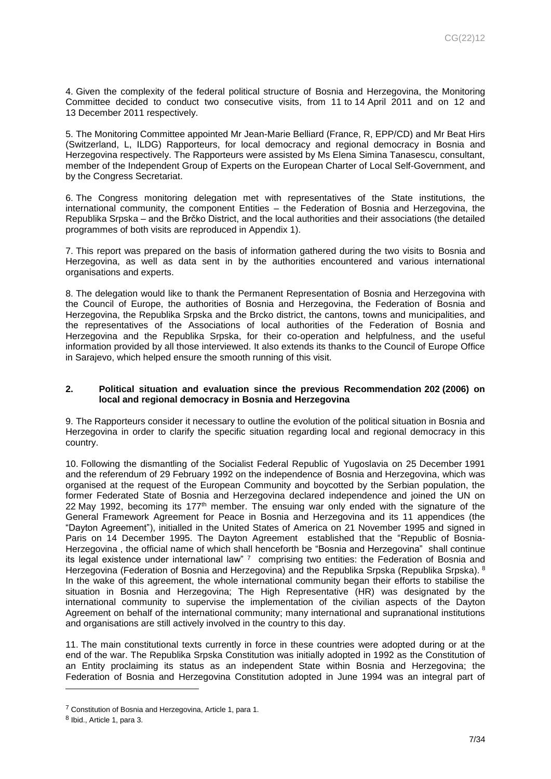4. Given the complexity of the federal political structure of Bosnia and Herzegovina, the Monitoring Committee decided to conduct two consecutive visits, from 11 to 14 April 2011 and on 12 and 13 December 2011 respectively.

5. The Monitoring Committee appointed Mr Jean-Marie Belliard (France, R, EPP/CD) and Mr Beat Hirs (Switzerland, L, ILDG) Rapporteurs, for local democracy and regional democracy in Bosnia and Herzegovina respectively. The Rapporteurs were assisted by Ms Elena Simina Tanasescu, consultant, member of the Independent Group of Experts on the European Charter of Local Self-Government, and by the Congress Secretariat.

6. The Congress monitoring delegation met with representatives of the State institutions, the international community, the component Entities – the Federation of Bosnia and Herzegovina, the Republika Srpska – and the Brčko District, and the local authorities and their associations (the detailed programmes of both visits are reproduced in Appendix 1).

7. This report was prepared on the basis of information gathered during the two visits to Bosnia and Herzegovina, as well as data sent in by the authorities encountered and various international organisations and experts.

8. The delegation would like to thank the Permanent Representation of Bosnia and Herzegovina with the Council of Europe, the authorities of Bosnia and Herzegovina, the Federation of Bosnia and Herzegovina, the Republika Srpska and the Brcko district, the cantons, towns and municipalities, and the representatives of the Associations of local authorities of the Federation of Bosnia and Herzegovina and the Republika Srpska, for their co-operation and helpfulness, and the useful information provided by all those interviewed. It also extends its thanks to the Council of Europe Office in Sarajevo, which helped ensure the smooth running of this visit.

### <span id="page-6-0"></span>**2. Political situation and evaluation since the previous Recommendation 202 (2006) on local and regional democracy in Bosnia and Herzegovina**

9. The Rapporteurs consider it necessary to outline the evolution of the political situation in Bosnia and Herzegovina in order to clarify the specific situation regarding local and regional democracy in this country.

10. Following the dismantling of the Socialist Federal Republic of Yugoslavia on 25 December 1991 and the referendum of 29 February 1992 on the independence of Bosnia and Herzegovina, which was organised at the request of the European Community and boycotted by the Serbian population, the former Federated State of Bosnia and Herzegovina declared independence and joined the UN on 22 May 1992, becoming its 177<sup>th</sup> member. The ensuing war only ended with the signature of the General Framework Agreement for Peace in Bosnia and Herzegovina and its 11 appendices (the "Dayton Agreement"), initialled in the United States of America on 21 November 1995 and signed in Paris on 14 December 1995. The Dayton Agreement established that the "Republic of Bosnia-Herzegovina , the official name of which shall henceforth be "Bosnia and Herzegovina" shall continue its legal existence under international law" 7 comprising two entities: the Federation of Bosnia and Herzegovina (Federation of Bosnia and Herzegovina) and the Republika Srpska (Republika Srpska). 8 In the wake of this agreement, the whole international community began their efforts to stabilise the situation in Bosnia and Herzegovina; The High Representative (HR) was designated by the international community to supervise the implementation of the civilian aspects of the Dayton Agreement on behalf of the international community; many international and supranational institutions and organisations are still actively involved in the country to this day.

11. The main constitutional texts currently in force in these countries were adopted during or at the end of the war. The Republika Srpska Constitution was initially adopted in 1992 as the Constitution of an Entity proclaiming its status as an independent State within Bosnia and Herzegovina; the Federation of Bosnia and Herzegovina Constitution adopted in June 1994 was an integral part of

<sup>7</sup> Constitution of Bosnia and Herzegovina, Article 1, para 1.

<sup>&</sup>lt;sup>8</sup> Ibid., Article 1, para 3.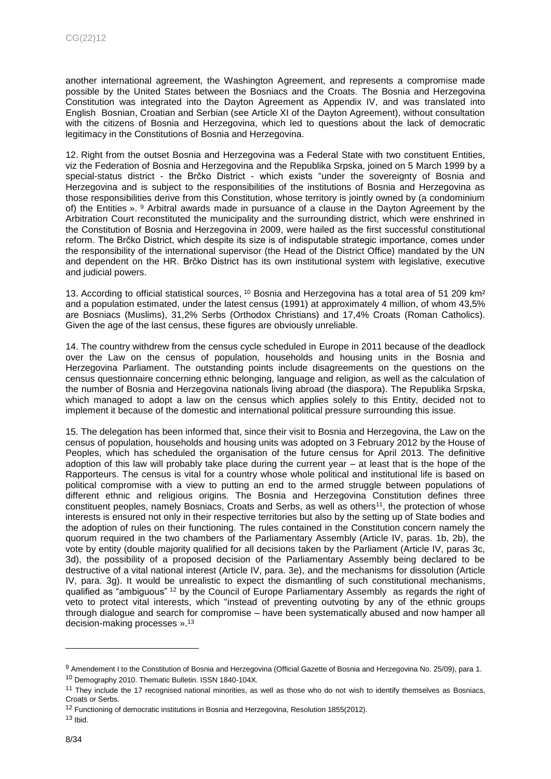another international agreement, the Washington Agreement, and represents a compromise made possible by the United States between the Bosniacs and the Croats. The Bosnia and Herzegovina Constitution was integrated into the Dayton Agreement as Appendix IV, and was translated into English Bosnian, Croatian and Serbian (see Article XI of the Dayton Agreement), without consultation with the citizens of Bosnia and Herzegovina, which led to questions about the lack of democratic legitimacy in the Constitutions of Bosnia and Herzegovina.

12. Right from the outset Bosnia and Herzegovina was a Federal State with two constituent Entities, viz the Federation of Bosnia and Herzegovina and the Republika Srpska, joined on 5 March 1999 by a special-status district - the Brčko District - which exists "under the sovereignty of Bosnia and Herzegovina and is subject to the responsibilities of the institutions of Bosnia and Herzegovina as those responsibilities derive from this Constitution, whose territory is jointly owned by (a condominium of) the Entities ». <sup>9</sup> Arbitral awards made in pursuance of a clause in the Dayton Agreement by the Arbitration Court reconstituted the municipality and the surrounding district, which were enshrined in the Constitution of Bosnia and Herzegovina in 2009, were hailed as the first successful constitutional reform. The Brčko District, which despite its size is of indisputable strategic importance, comes under the responsibility of the international supervisor (the Head of the District Office) mandated by the UN and dependent on the HR. Brčko District has its own institutional system with legislative, executive and judicial powers.

13. According to official statistical sources,  $10$  Bosnia and Herzegovina has a total area of 51 209 km<sup>2</sup> and a population estimated, under the latest census (1991) at approximately 4 million, of whom 43,5% are Bosniacs (Muslims), 31,2% Serbs (Orthodox Christians) and 17,4% Croats (Roman Catholics). Given the age of the last census, these figures are obviously unreliable.

14. The country withdrew from the census cycle scheduled in Europe in 2011 because of the deadlock over the Law on the census of population, households and housing units in the Bosnia and Herzegovina Parliament. The outstanding points include disagreements on the questions on the census questionnaire concerning ethnic belonging, language and religion, as well as the calculation of the number of Bosnia and Herzegovina nationals living abroad (the diaspora). The Republika Srpska, which managed to adopt a law on the census which applies solely to this Entity, decided not to implement it because of the domestic and international political pressure surrounding this issue.

15. The delegation has been informed that, since their visit to Bosnia and Herzegovina, the Law on the census of population, households and housing units was adopted on 3 February 2012 by the House of Peoples, which has scheduled the organisation of the future census for April 2013. The definitive adoption of this law will probably take place during the current year – at least that is the hope of the Rapporteurs. The census is vital for a country whose whole political and institutional life is based on political compromise with a view to putting an end to the armed struggle between populations of different ethnic and religious origins. The Bosnia and Herzegovina Constitution defines three constituent peoples, namely Bosniacs, Croats and Serbs, as well as others<sup>11</sup>, the protection of whose interests is ensured not only in their respective territories but also by the setting up of State bodies and the adoption of rules on their functioning. The rules contained in the Constitution concern namely the quorum required in the two chambers of the Parliamentary Assembly (Article IV, paras. 1b, 2b), the vote by entity (double majority qualified for all decisions taken by the Parliament (Article IV, paras 3c, 3d), the possibility of a proposed decision of the Parliamentary Assembly being declared to be destructive of a vital national interest (Article IV, para. 3e), and the mechanisms for dissolution (Article IV, para. 3g). It would be unrealistic to expect the dismantling of such constitutional mechanisms, qualified as "ambiguous" <sup>12</sup> by the Council of Europe Parliamentary Assembly as regards the right of veto to protect vital interests, which "instead of preventing outvoting by any of the ethnic groups through dialogue and search for compromise – have been systematically abused and now hamper all decision-making processes ».<sup>13</sup>

<sup>9</sup> Amendement I to the Constitution of Bosnia and Herzegovina (Official Gazette of Bosnia and Herzegovina No. 25/09), para 1. <sup>10</sup> [Demography 2010. Thematic Bulletin. ISSN 1840-104X.](http://www.bhas.ba/tematskibilteni/DEM_2010_001_01-bh.pdf)

<sup>&</sup>lt;sup>11</sup> They include the 17 recognised national minorities, as well as those who do not wish to identify themselves as Bosniacs, Croats or Serbs.

 $12$  Functioning of democratic institutions in Bosnia and Herzegovina, Resolution 1855(2012).

 $13$  Ibid.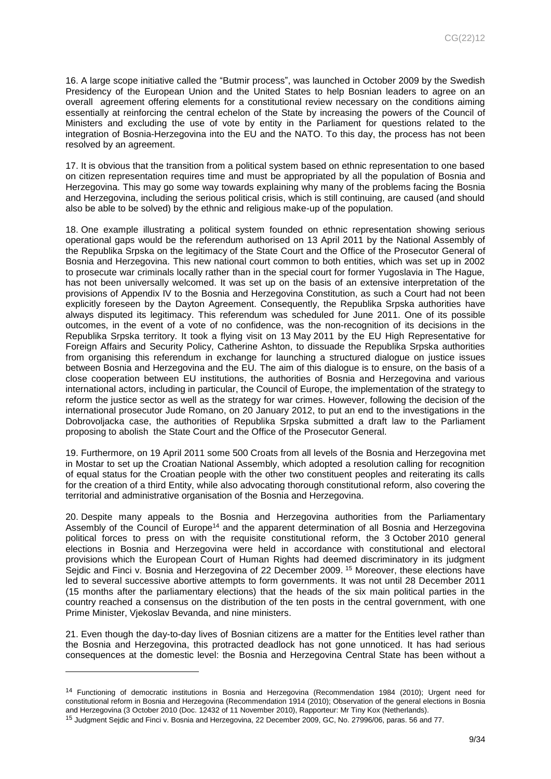16. A large scope initiative called the "Butmir process", was launched in October 2009 by the Swedish Presidency of the European Union and the United States to help Bosnian leaders to agree on an overall agreement offering elements for a constitutional review necessary on the conditions aiming essentially at reinforcing the central echelon of the State by increasing the powers of the Council of Ministers and excluding the use of vote by entity in the Parliament for questions related to the integration of Bosnia-Herzegovina into the EU and the NATO. To this day, the process has not been resolved by an agreement.

17. It is obvious that the transition from a political system based on ethnic representation to one based on citizen representation requires time and must be appropriated by all the population of Bosnia and Herzegovina. This may go some way towards explaining why many of the problems facing the Bosnia and Herzegovina, including the serious political crisis, which is still continuing, are caused (and should also be able to be solved) by the ethnic and religious make-up of the population.

18. One example illustrating a political system founded on ethnic representation showing serious operational gaps would be the referendum authorised on 13 April 2011 by the National Assembly of the Republika Srpska on the legitimacy of the State Court and the Office of the Prosecutor General of Bosnia and Herzegovina. This new national court common to both entities, which was set up in 2002 to prosecute war criminals locally rather than in the special court for former Yugoslavia in The Hague, has not been universally welcomed. It was set up on the basis of an extensive interpretation of the provisions of Appendix IV to the Bosnia and Herzegovina Constitution, as such a Court had not been explicitly foreseen by the Dayton Agreement. Consequently, the Republika Srpska authorities have always disputed its legitimacy. This referendum was scheduled for June 2011. One of its possible outcomes, in the event of a vote of no confidence, was the non-recognition of its decisions in the Republika Srpska territory. It took a flying visit on 13 May 2011 by the EU High Representative for Foreign Affairs and Security Policy, Catherine Ashton, to dissuade the Republika Srpska authorities from organising this referendum in exchange for launching a structured dialogue on justice issues between Bosnia and Herzegovina and the EU. The aim of this dialogue is to ensure, on the basis of a close cooperation between EU institutions, the authorities of Bosnia and Herzegovina and various international actors, including in particular, the Council of Europe, the implementation of the strategy to reform the justice sector as well as the strategy for war crimes. However, following the decision of the international prosecutor Jude Romano, on 20 January 2012, to put an end to the investigations in the Dobrovoljacka case, the authorities of Republika Srpska submitted a draft law to the Parliament proposing to abolish the State Court and the Office of the Prosecutor General.

19. Furthermore, on 19 April 2011 some 500 Croats from all levels of the Bosnia and Herzegovina met in Mostar to set up the Croatian National Assembly, which adopted a resolution calling for recognition of equal status for the Croatian people with the other two constituent peoples and reiterating its calls for the creation of a third Entity, while also advocating thorough constitutional reform, also covering the territorial and administrative organisation of the Bosnia and Herzegovina.

20. Despite many appeals to the Bosnia and Herzegovina authorities from the Parliamentary Assembly of the Council of Europe<sup>14</sup> and the apparent determination of all Bosnia and Herzegovina political forces to press on with the requisite constitutional reform, the 3 October 2010 general elections in Bosnia and Herzegovina were held in accordance with constitutional and electoral provisions which the European Court of Human Rights had deemed discriminatory in its judgment Sejdic and Finci v. Bosnia and Herzegovina of 22 December 2009. <sup>15</sup> Moreover, these elections have led to several successive abortive attempts to form governments. It was not until 28 December 2011 (15 months after the parliamentary elections) that the heads of the six main political parties in the country reached a consensus on the distribution of the ten posts in the central government, with one Prime Minister, Vjekoslav Bevanda, and nine ministers.

21. Even though the day-to-day lives of Bosnian citizens are a matter for the Entities level rather than the Bosnia and Herzegovina, this protracted deadlock has not gone unnoticed. It has had serious consequences at the domestic level: the Bosnia and Herzegovina Central State has been without a

<sup>14</sup> Functioning of democratic institutions in Bosnia and Herzegovina (Recommendation 1984 (2010); Urgent need for constitutional reform in Bosnia and Herzegovina (Recommendation 1914 (2010); Observation of the general elections in Bosnia and Herzegovina (3 October 2010 (Doc. 12432 of 11 November 2010), Rapporteur: Mr Tiny Kox (Netherlands).

<sup>15</sup> Judgment Sejdic and Finci v. Bosnia and Herzegovina, 22 December 2009, GC, No. 27996/06, paras. 56 and 77.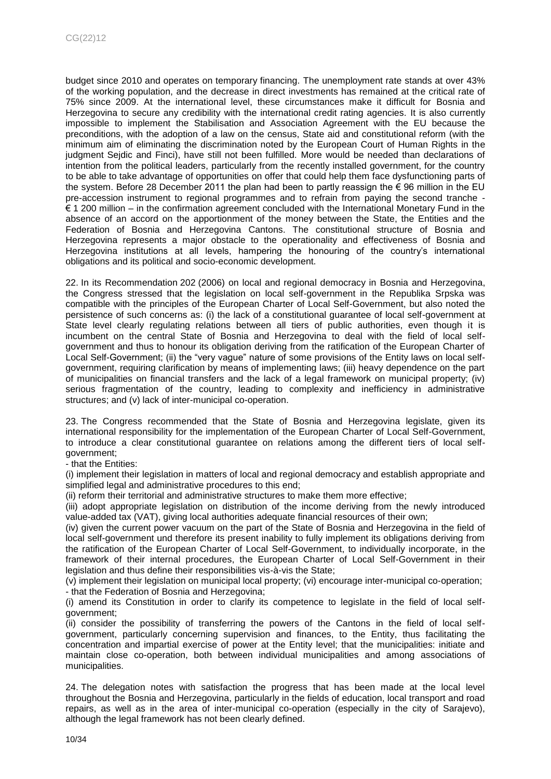budget since 2010 and operates on temporary financing. The unemployment rate stands at over 43% of the working population, and the decrease in direct investments has remained at the critical rate of 75% since 2009. At the international level, these circumstances make it difficult for Bosnia and Herzegovina to secure any credibility with the international credit rating agencies. It is also currently impossible to implement the Stabilisation and Association Agreement with the EU because the preconditions, with the adoption of a law on the census, State aid and constitutional reform (with the minimum aim of eliminating the discrimination noted by the European Court of Human Rights in the judgment Sejdic and Finci), have still not been fulfilled. More would be needed than declarations of intention from the political leaders, particularly from the recently installed government, for the country to be able to take advantage of opportunities on offer that could help them face dysfunctioning parts of the system. Before 28 December 2011 the plan had been to partly reassign the € 96 million in the EU pre-accession instrument to regional programmes and to refrain from paying the second tranche - € 1 200 million – in the confirmation agreement concluded with the International Monetary Fund in the absence of an accord on the apportionment of the money between the State, the Entities and the Federation of Bosnia and Herzegovina Cantons. The constitutional structure of Bosnia and Herzegovina represents a major obstacle to the operationality and effectiveness of Bosnia and Herzegovina institutions at all levels, hampering the honouring of the country's international obligations and its political and socio-economic development.

22. In its Recommendation 202 (2006) on local and regional democracy in Bosnia and Herzegovina, the Congress stressed that the legislation on local self-government in the Republika Srpska was compatible with the principles of the European Charter of Local Self-Government, but also noted the persistence of such concerns as: (i) the lack of a constitutional guarantee of local self-government at State level clearly regulating relations between all tiers of public authorities, even though it is incumbent on the central State of Bosnia and Herzegovina to deal with the field of local selfgovernment and thus to honour its obligation deriving from the ratification of the European Charter of Local Self-Government; (ii) the "very vague" nature of some provisions of the Entity laws on local selfgovernment, requiring clarification by means of implementing laws; (iii) heavy dependence on the part of municipalities on financial transfers and the lack of a legal framework on municipal property; (iv) serious fragmentation of the country, leading to complexity and inefficiency in administrative structures; and (v) lack of inter-municipal co-operation.

23. The Congress recommended that the State of Bosnia and Herzegovina legislate, given its international responsibility for the implementation of the European Charter of Local Self-Government, to introduce a clear constitutional guarantee on relations among the different tiers of local selfgovernment;

- that the Entities:

(i) implement their legislation in matters of local and regional democracy and establish appropriate and simplified legal and administrative procedures to this end;

(ii) reform their territorial and administrative structures to make them more effective;

(iii) adopt appropriate legislation on distribution of the income deriving from the newly introduced value-added tax (VAT), giving local authorities adequate financial resources of their own;

(iv) given the current power vacuum on the part of the State of Bosnia and Herzegovina in the field of local self-government und therefore its present inability to fully implement its obligations deriving from the ratification of the European Charter of Local Self-Government, to individually incorporate, in the framework of their internal procedures, the European Charter of Local Self-Government in their legislation and thus define their responsibilities vis-à-vis the State;

(v) implement their legislation on municipal local property; (vi) encourage inter-municipal co-operation; - that the Federation of Bosnia and Herzegovina;

(i) amend its Constitution in order to clarify its competence to legislate in the field of local selfgovernment;

(ii) consider the possibility of transferring the powers of the Cantons in the field of local selfgovernment, particularly concerning supervision and finances, to the Entity, thus facilitating the concentration and impartial exercise of power at the Entity level; that the municipalities: initiate and maintain close co-operation, both between individual municipalities and among associations of municipalities.

24. The delegation notes with satisfaction the progress that has been made at the local level throughout the Bosnia and Herzegovina, particularly in the fields of education, local transport and road repairs, as well as in the area of inter-municipal co-operation (especially in the city of Sarajevo), although the legal framework has not been clearly defined.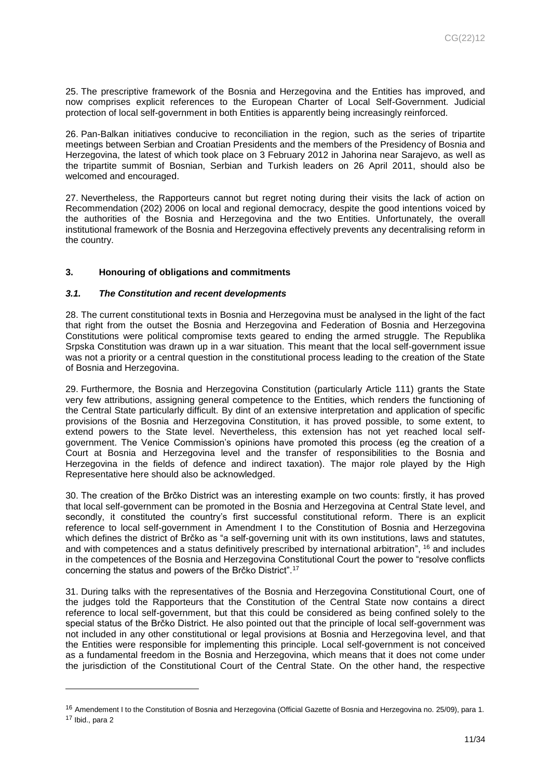25. The prescriptive framework of the Bosnia and Herzegovina and the Entities has improved, and now comprises explicit references to the European Charter of Local Self-Government. Judicial protection of local self-government in both Entities is apparently being increasingly reinforced.

26. Pan-Balkan initiatives conducive to reconciliation in the region, such as the series of tripartite meetings between Serbian and Croatian Presidents and the members of the Presidency of Bosnia and Herzegovina, the latest of which took place on 3 February 2012 in Jahorina near Sarajevo, as well as the tripartite summit of Bosnian, Serbian and Turkish leaders on 26 April 2011, should also be welcomed and encouraged.

27. Nevertheless, the Rapporteurs cannot but regret noting during their visits the lack of action on Recommendation (202) 2006 on local and regional democracy, despite the good intentions voiced by the authorities of the Bosnia and Herzegovina and the two Entities. Unfortunately, the overall institutional framework of the Bosnia and Herzegovina effectively prevents any decentralising reform in the country.

# <span id="page-10-0"></span>**3. Honouring of obligations and commitments**

### <span id="page-10-1"></span>*3.1. The Constitution and recent developments*

l

28. The current constitutional texts in Bosnia and Herzegovina must be analysed in the light of the fact that right from the outset the Bosnia and Herzegovina and Federation of Bosnia and Herzegovina Constitutions were political compromise texts geared to ending the armed struggle. The Republika Srpska Constitution was drawn up in a war situation. This meant that the local self-government issue was not a priority or a central question in the constitutional process leading to the creation of the State of Bosnia and Herzegovina.

29. Furthermore, the Bosnia and Herzegovina Constitution (particularly Article 111) grants the State very few attributions, assigning general competence to the Entities, which renders the functioning of the Central State particularly difficult. By dint of an extensive interpretation and application of specific provisions of the Bosnia and Herzegovina Constitution, it has proved possible, to some extent, to extend powers to the State level. Nevertheless, this extension has not yet reached local selfgovernment. The Venice Commission's opinions have promoted this process (eg the creation of a Court at Bosnia and Herzegovina level and the transfer of responsibilities to the Bosnia and Herzegovina in the fields of defence and indirect taxation). The major role played by the High Representative here should also be acknowledged.

30. The creation of the Brčko District was an interesting example on two counts: firstly, it has proved that local self-government can be promoted in the Bosnia and Herzegovina at Central State level, and secondly, it constituted the country's first successful constitutional reform. There is an explicit reference to local self-government in Amendment I to the Constitution of Bosnia and Herzegovina which defines the district of Brčko as "a self-governing unit with its own institutions, laws and statutes, and with competences and a status definitively prescribed by international arbitration", <sup>16</sup> and includes in the competences of the Bosnia and Herzegovina Constitutional Court the power to "resolve conflicts concerning the status and powers of the Brčko District".<sup>17</sup>

31. During talks with the representatives of the Bosnia and Herzegovina Constitutional Court, one of the judges told the Rapporteurs that the Constitution of the Central State now contains a direct reference to local self-government, but that this could be considered as being confined solely to the special status of the Brčko District. He also pointed out that the principle of local self-government was not included in any other constitutional or legal provisions at Bosnia and Herzegovina level, and that the Entities were responsible for implementing this principle. Local self-government is not conceived as a fundamental freedom in the Bosnia and Herzegovina, which means that it does not come under the jurisdiction of the Constitutional Court of the Central State. On the other hand, the respective

<sup>&</sup>lt;sup>16</sup> Amendement I to the Constitution of Bosnia and Herzegovina (Official Gazette of Bosnia and Herzegovina no. 25/09), para 1. <sup>17</sup> Ibid., para 2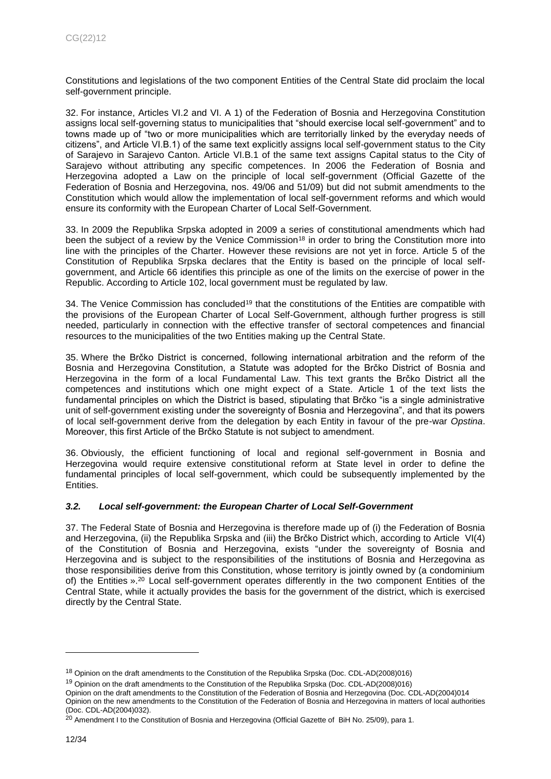Constitutions and legislations of the two component Entities of the Central State did proclaim the local self-government principle.

32. For instance, Articles VI.2 and VI. A 1) of the Federation of Bosnia and Herzegovina Constitution assigns local self-governing status to municipalities that "should exercise local self-government" and to towns made up of "two or more municipalities which are territorially linked by the everyday needs of citizens", and Article VI.B.1) of the same text explicitly assigns local self-government status to the City of Sarajevo in Sarajevo Canton. Article VI.B.1 of the same text assigns Capital status to the City of Sarajevo without attributing any specific competences. In 2006 the Federation of Bosnia and Herzegovina adopted a Law on the principle of local self-government (Official Gazette of the Federation of Bosnia and Herzegovina, nos. 49/06 and 51/09) but did not submit amendments to the Constitution which would allow the implementation of local self-government reforms and which would ensure its conformity with the European Charter of Local Self-Government.

33. In 2009 the Republika Srpska adopted in 2009 a series of constitutional amendments which had been the subject of a review by the Venice Commission<sup>18</sup> in order to bring the Constitution more into line with the principles of the Charter. However these revisions are not yet in force. Article 5 of the Constitution of Republika Srpska declares that the Entity is based on the principle of local selfgovernment, and Article 66 identifies this principle as one of the limits on the exercise of power in the Republic. According to Article 102, local government must be regulated by law.

34. The Venice Commission has concluded<sup>19</sup> that the constitutions of the Entities are compatible with the provisions of the European Charter of Local Self-Government, although further progress is still needed, particularly in connection with the effective transfer of sectoral competences and financial resources to the municipalities of the two Entities making up the Central State.

35. Where the Brčko District is concerned, following international arbitration and the reform of the Bosnia and Herzegovina Constitution, a Statute was adopted for the Brčko District of Bosnia and Herzegovina in the form of a local Fundamental Law. This text grants the Brčko District all the competences and institutions which one might expect of a State. Article 1 of the text lists the fundamental principles on which the District is based, stipulating that Brčko "is a single administrative unit of self-government existing under the sovereignty of Bosnia and Herzegovina", and that its powers of local self-government derive from the delegation by each Entity in favour of the pre-war *Opstina*. Moreover, this first Article of the Brčko Statute is not subject to amendment.

36. Obviously, the efficient functioning of local and regional self-government in Bosnia and Herzegovina would require extensive constitutional reform at State level in order to define the fundamental principles of local self-government, which could be subsequently implemented by the Entities.

# <span id="page-11-0"></span>*3.2. Local self-government: the European Charter of Local Self-Government*

37. The Federal State of Bosnia and Herzegovina is therefore made up of (i) the Federation of Bosnia and Herzegovina, (ii) the Republika Srpska and (iii) the Brčko District which, according to Article VI(4) of the Constitution of Bosnia and Herzegovina, exists "under the sovereignty of Bosnia and Herzegovina and is subject to the responsibilities of the institutions of Bosnia and Herzegovina as those responsibilities derive from this Constitution, whose territory is jointly owned by (a condominium of) the Entities ».<sup>20</sup> Local self-government operates differently in the two component Entities of the Central State, while it actually provides the basis for the government of the district, which is exercised directly by the Central State.

<sup>19</sup> Opinion on the draft amendments to the Constitution of the Republika Srpska (Doc. CDL-AD(2008)016)

<sup>&</sup>lt;sup>18</sup> Opinion on the draft amendments to the Constitution of the Republika Srpska (Doc. CDL-AD(2008)016)

Opinion on the draft amendments to the Constitution of the Federation of Bosnia and Herzegovina (Doc. CDL-AD(2004)014 Opinion on the new amendments to the Constitution of the Federation of Bosnia and Herzegovina in matters of local authorities (Doc. CDL-AD(2004)032).

<sup>&</sup>lt;sup>20</sup> Amendment I to the Constitution of Bosnia and Herzegovina (Official Gazette of BiH No. 25/09), para 1.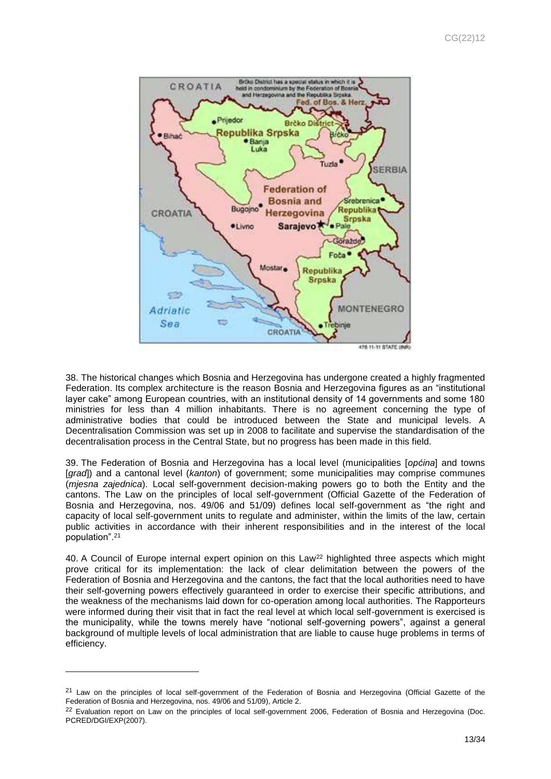

38. The historical changes which Bosnia and Herzegovina has undergone created a highly fragmented Federation. Its complex architecture is the reason Bosnia and Herzegovina figures as an "institutional layer cake" among European countries, with an institutional density of 14 governments and some 180 ministries for less than 4 million inhabitants. There is no agreement concerning the type of administrative bodies that could be introduced between the State and municipal levels. A Decentralisation Commission was set up in 2008 to facilitate and supervise the standardisation of the decentralisation process in the Central State, but no progress has been made in this field.

39. The Federation of Bosnia and Herzegovina has a local level (municipalities [*općina*] and towns [*grad*]) and a cantonal level (*kanton*) of government; some municipalities may comprise communes (*mjesna zajednica*). Local self-government decision-making powers go to both the Entity and the cantons. The Law on the principles of local self-government (Official Gazette of the Federation of Bosnia and Herzegovina, nos. 49/06 and 51/09) defines local self-government as "the right and capacity of local self-government units to regulate and administer, within the limits of the law, certain public activities in accordance with their inherent responsibilities and in the interest of the local population".<sup>21</sup>

40. A Council of Europe internal expert opinion on this Law<sup>22</sup> highlighted three aspects which might prove critical for its implementation: the lack of clear delimitation between the powers of the Federation of Bosnia and Herzegovina and the cantons, the fact that the local authorities need to have their self-governing powers effectively guaranteed in order to exercise their specific attributions, and the weakness of the mechanisms laid down for co-operation among local authorities. The Rapporteurs were informed during their visit that in fact the real level at which local self-government is exercised is the municipality, while the towns merely have "notional self-governing powers", against a general background of multiple levels of local administration that are liable to cause huge problems in terms of efficiency.

<sup>&</sup>lt;sup>21</sup> Law on the principles of local self-government of the Federation of Bosnia and Herzegovina (Official Gazette of the Federation of Bosnia and Herzegovina, nos. 49/06 and 51/09), Article 2.

<sup>&</sup>lt;sup>22</sup> Evaluation report on Law on the principles of local self-government 2006, Federation of Bosnia and Herzegovina (Doc. PCRED/DGI/EXP(2007).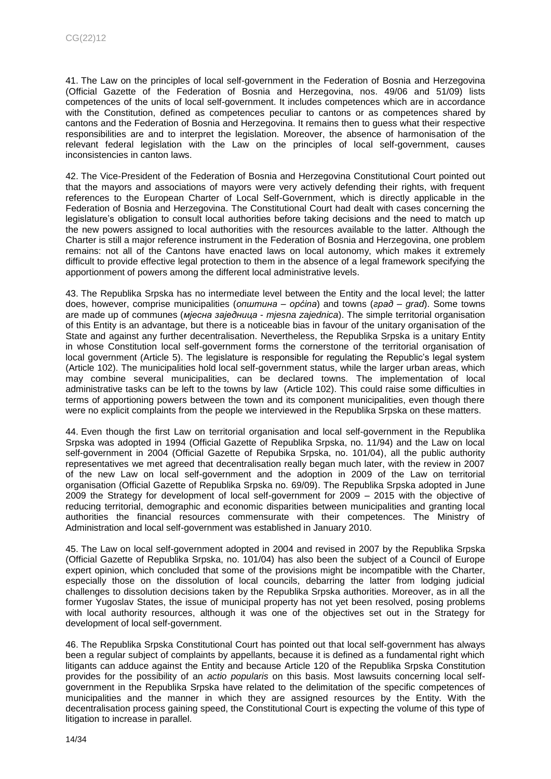41. The Law on the principles of local self-government in the Federation of Bosnia and Herzegovina (Official Gazette of the Federation of Bosnia and Herzegovina, nos. 49/06 and 51/09) lists competences of the units of local self-government. It includes competences which are in accordance with the Constitution, defined as competences peculiar to cantons or as competences shared by cantons and the Federation of Bosnia and Herzegovina. It remains then to guess what their respective responsibilities are and to interpret the legislation. Moreover, the absence of harmonisation of the relevant federal legislation with the Law on the principles of local self-government, causes inconsistencies in canton laws.

42. The Vice-President of the Federation of Bosnia and Herzegovina Constitutional Court pointed out that the mayors and associations of mayors were very actively defending their rights, with frequent references to the European Charter of Local Self-Government, which is directly applicable in the Federation of Bosnia and Herzegovina. The Constitutional Court had dealt with cases concerning the legislature's obligation to consult local authorities before taking decisions and the need to match up the new powers assigned to local authorities with the resources available to the latter. Although the Charter is still a major reference instrument in the Federation of Bosnia and Herzegovina, one problem remains: not all of the Cantons have enacted laws on local autonomy, which makes it extremely difficult to provide effective legal protection to them in the absence of a legal framework specifying the apportionment of powers among the different local administrative levels.

43. The Republika Srpska has no intermediate level between the Entity and the local level; the latter does, however, comprise municipalities (*општина* – *općina*) and towns (*град* – *grad*). Some towns are made up of communes (*мjесна заjедница* - *mjesna zajednica*). The simple territorial organisation of this Entity is an advantage, but there is a noticeable bias in favour of the unitary organisation of the State and against any further decentralisation. Nevertheless, the Republika Srpska is a unitary Entity in whose Constitution local self-government forms the cornerstone of the territorial organisation of local government (Article 5). The legislature is responsible for regulating the Republic's legal system (Article 102). The municipalities hold local self-government status, while the larger urban areas, which may combine several municipalities, can be declared towns. The implementation of local administrative tasks can be left to the towns by law (Article 102). This could raise some difficulties in terms of apportioning powers between the town and its component municipalities, even though there were no explicit complaints from the people we interviewed in the Republika Srpska on these matters.

44. Even though the first Law on territorial organisation and local self-government in the Republika Srpska was adopted in 1994 (Official Gazette of Republika Srpska, no. 11/94) and the Law on local self-government in 2004 (Official Gazette of Repubika Srpska, no. 101/04), all the public authority representatives we met agreed that decentralisation really began much later, with the review in 2007 of the new Law on local self-government and the adoption in 2009 of the Law on territorial organisation (Official Gazette of Republika Srpska no. 69/09). The Republika Srpska adopted in June 2009 the Strategy for development of local self-government for 2009 – 2015 with the objective of reducing territorial, demographic and economic disparities between municipalities and granting local authorities the financial resources commensurate with their competences. The Ministry of Administration and local self-government was established in January 2010.

45. The Law on local self-government adopted in 2004 and revised in 2007 by the Republika Srpska (Official Gazette of Republika Srpska, no. 101/04) has also been the subject of a Council of Europe expert opinion, which concluded that some of the provisions might be incompatible with the Charter, especially those on the dissolution of local councils, debarring the latter from lodging judicial challenges to dissolution decisions taken by the Republika Srpska authorities. Moreover, as in all the former Yugoslav States, the issue of municipal property has not yet been resolved, posing problems with local authority resources, although it was one of the objectives set out in the Strategy for development of local self-government.

46. The Republika Srpska Constitutional Court has pointed out that local self-government has always been a regular subject of complaints by appellants, because it is defined as a fundamental right which litigants can adduce against the Entity and because Article 120 of the Republika Srpska Constitution provides for the possibility of an *actio popularis* on this basis. Most lawsuits concerning local selfgovernment in the Republika Srpska have related to the delimitation of the specific competences of municipalities and the manner in which they are assigned resources by the Entity. With the decentralisation process gaining speed, the Constitutional Court is expecting the volume of this type of litigation to increase in parallel.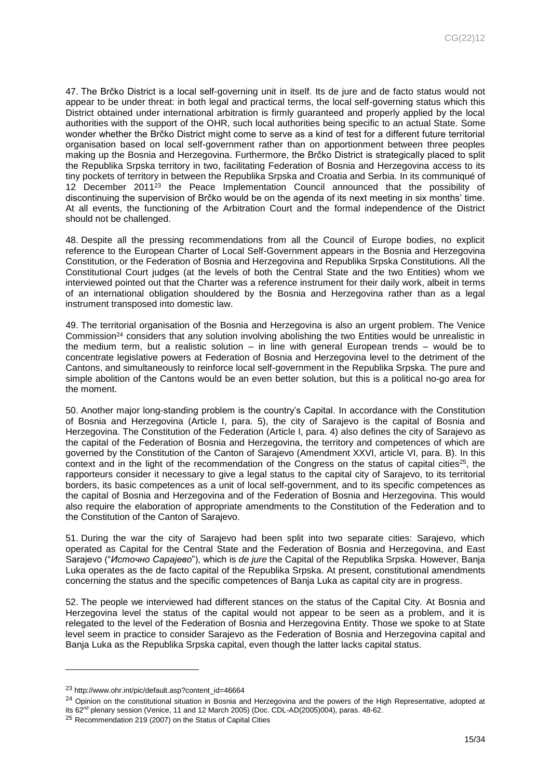47. The Brčko District is a local self-governing unit in itself. Its de jure and de facto status would not appear to be under threat: in both legal and practical terms, the local self-governing status which this District obtained under international arbitration is firmly guaranteed and properly applied by the local authorities with the support of the OHR, such local authorities being specific to an actual State. Some wonder whether the Brčko District might come to serve as a kind of test for a different future territorial organisation based on local self-government rather than on apportionment between three peoples making up the Bosnia and Herzegovina. Furthermore, the Brčko District is strategically placed to split the Republika Srpska territory in two, facilitating Federation of Bosnia and Herzegovina access to its tiny pockets of territory in between the Republika Srpska and Croatia and Serbia. In its communiqué of 12 December 2011<sup>23</sup> the Peace Implementation Council announced that the possibility of discontinuing the supervision of Brčko would be on the agenda of its next meeting in six months' time. At all events, the functioning of the Arbitration Court and the formal independence of the District should not be challenged.

48. Despite all the pressing recommendations from all the Council of Europe bodies, no explicit reference to the European Charter of Local Self-Government appears in the Bosnia and Herzegovina Constitution, or the Federation of Bosnia and Herzegovina and Republika Srpska Constitutions. All the Constitutional Court judges (at the levels of both the Central State and the two Entities) whom we interviewed pointed out that the Charter was a reference instrument for their daily work, albeit in terms of an international obligation shouldered by the Bosnia and Herzegovina rather than as a legal instrument transposed into domestic law.

49. The territorial organisation of the Bosnia and Herzegovina is also an urgent problem. The Venice Commission<sup>24</sup> considers that any solution involving abolishing the two Entities would be unrealistic in the medium term, but a realistic solution – in line with general European trends – would be to concentrate legislative powers at Federation of Bosnia and Herzegovina level to the detriment of the Cantons, and simultaneously to reinforce local self-government in the Republika Srpska. The pure and simple abolition of the Cantons would be an even better solution, but this is a political no-go area for the moment.

50. Another major long-standing problem is the country's Capital. In accordance with the Constitution of Bosnia and Herzegovina (Article I, para. 5), the city of Sarajevo is the capital of Bosnia and Herzegovina. The Constitution of the Federation (Article I, para. 4) also defines the city of Sarajevo as the capital of the Federation of Bosnia and Herzegovina, the territory and competences of which are governed by the Constitution of the Canton of Sarajevo (Amendment XXVI, article VI, para. B). In this context and in the light of the recommendation of the Congress on the status of capital cities<sup>25</sup>, the rapporteurs consider it necessary to give a legal status to the capital city of Sarajevo, to its territorial borders, its basic competences as a unit of local self-government, and to its specific competences as the capital of Bosnia and Herzegovina and of the Federation of Bosnia and Herzegovina. This would also require the elaboration of appropriate amendments to the Constitution of the Federation and to the Constitution of the Canton of Sarajevo.

51. During the war the city of Sarajevo had been split into two separate cities: Sarajevo, which operated as Capital for the Central State and the Federation of Bosnia and Herzegovina, and East Sarajevo ("*Источно Сарајевo*"), which is *de jure* the Capital of the Republika Srpska. However, Banja Luka operates as the de facto capital of the Republika Srpska. At present, constitutional amendments concerning the status and the specific competences of Banja Luka as capital city are in progress.

52. The people we interviewed had different stances on the status of the Capital City. At Bosnia and Herzegovina level the status of the capital would not appear to be seen as a problem, and it is relegated to the level of the Federation of Bosnia and Herzegovina Entity. Those we spoke to at State level seem in practice to consider Sarajevo as the Federation of Bosnia and Herzegovina capital and Banja Luka as the Republika Srpska capital, even though the latter lacks capital status.

<sup>23</sup> [http://www.ohr.int/pic/default.asp?content\\_id=46664](http://www.ohr.int/pic/default.asp?content_id=46664)

<sup>&</sup>lt;sup>24</sup> Opinion on the constitutional situation in Bosnia and Herzegovina and the powers of the High Representative, adopted at its 62nd plenary session (Venice, 11 and 12 March 2005) (Doc. CDL-AD(2005)004), paras. 48-62.

<sup>&</sup>lt;sup>25</sup> Recommendation 219 (2007) on the Status of Capital Cities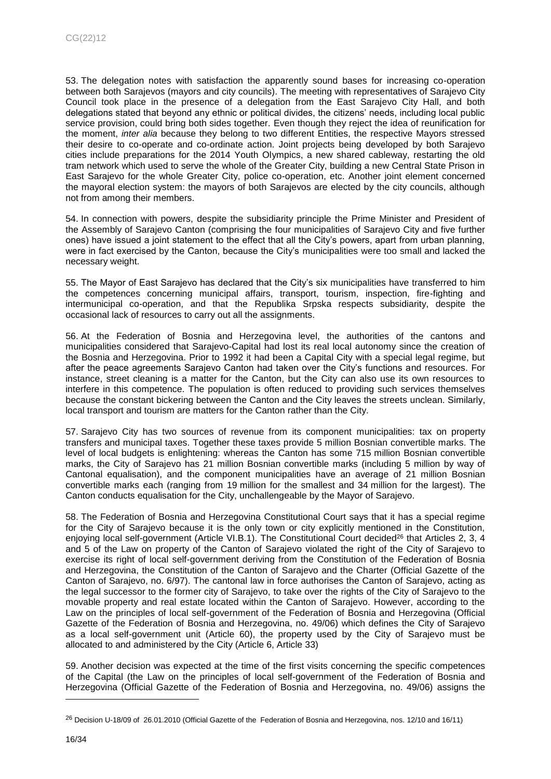53. The delegation notes with satisfaction the apparently sound bases for increasing co-operation between both Sarajevos (mayors and city councils). The meeting with representatives of Sarajevo City Council took place in the presence of a delegation from the East Sarajevo City Hall, and both delegations stated that beyond any ethnic or political divides, the citizens' needs, including local public service provision, could bring both sides together. Even though they reject the idea of reunification for the moment, *inter alia* because they belong to two different Entities, the respective Mayors stressed their desire to co-operate and co-ordinate action. Joint projects being developed by both Sarajevo cities include preparations for the 2014 Youth Olympics, a new shared cableway, restarting the old tram network which used to serve the whole of the Greater City, building a new Central State Prison in East Sarajevo for the whole Greater City, police co-operation, etc. Another joint element concerned the mayoral election system: the mayors of both Sarajevos are elected by the city councils, although not from among their members.

54. In connection with powers, despite the subsidiarity principle the Prime Minister and President of the Assembly of Sarajevo Canton (comprising the four municipalities of Sarajevo City and five further ones) have issued a joint statement to the effect that all the City's powers, apart from urban planning, were in fact exercised by the Canton, because the City's municipalities were too small and lacked the necessary weight.

55. The Mayor of East Sarajevo has declared that the City's six municipalities have transferred to him the competences concerning municipal affairs, transport, tourism, inspection, fire-fighting and intermunicipal co-operation, and that the Republika Srpska respects subsidiarity, despite the occasional lack of resources to carry out all the assignments.

56. At the Federation of Bosnia and Herzegovina level, the authorities of the cantons and municipalities considered that Sarajevo-Capital had lost its real local autonomy since the creation of the Bosnia and Herzegovina. Prior to 1992 it had been a Capital City with a special legal regime, but after the peace agreements Sarajevo Canton had taken over the City's functions and resources. For instance, street cleaning is a matter for the Canton, but the City can also use its own resources to interfere in this competence. The population is often reduced to providing such services themselves because the constant bickering between the Canton and the City leaves the streets unclean. Similarly, local transport and tourism are matters for the Canton rather than the City.

57. Sarajevo City has two sources of revenue from its component municipalities: tax on property transfers and municipal taxes. Together these taxes provide 5 million Bosnian convertible marks. The level of local budgets is enlightening: whereas the Canton has some 715 million Bosnian convertible marks, the City of Sarajevo has 21 million Bosnian convertible marks (including 5 million by way of Cantonal equalisation), and the component municipalities have an average of 21 million Bosnian convertible marks each (ranging from 19 million for the smallest and 34 million for the largest). The Canton conducts equalisation for the City, unchallengeable by the Mayor of Sarajevo.

58. The Federation of Bosnia and Herzegovina Constitutional Court says that it has a special regime for the City of Sarajevo because it is the only town or city explicitly mentioned in the Constitution, enjoying local self-government (Article VI.B.1). The Constitutional Court decided<sup>26</sup> that Articles 2, 3, 4 and 5 of the Law on property of the Canton of Sarajevo violated the right of the City of Sarajevo to exercise its right of local self-government deriving from the Constitution of the Federation of Bosnia and Herzegovina, the Constitution of the Canton of Sarajevo and the Charter (Official Gazette of the Canton of Sarajevo, no. 6/97). The cantonal law in force authorises the Canton of Sarajevo, acting as the legal successor to the former city of Sarajevo, to take over the rights of the City of Sarajevo to the movable property and real estate located within the Canton of Sarajevo. However, according to the Law on the principles of local self-government of the Federation of Bosnia and Herzegovina (Official Gazette of the Federation of Bosnia and Herzegovina, no. 49/06) which defines the City of Sarajevo as a local self-government unit (Article 60), the property used by the City of Sarajevo must be allocated to and administered by the City (Article 6, Article 33)

59. Another decision was expected at the time of the first visits concerning the specific competences of the Capital (the Law on the principles of local self-government of the Federation of Bosnia and Herzegovina (Official Gazette of the Federation of Bosnia and Herzegovina, no. 49/06) assigns the

<sup>&</sup>lt;sup>26</sup> Decision U-18/09 of 26.01.2010 (Official Gazette of the Federation of Bosnia and Herzegovina, nos. 12/10 and 16/11)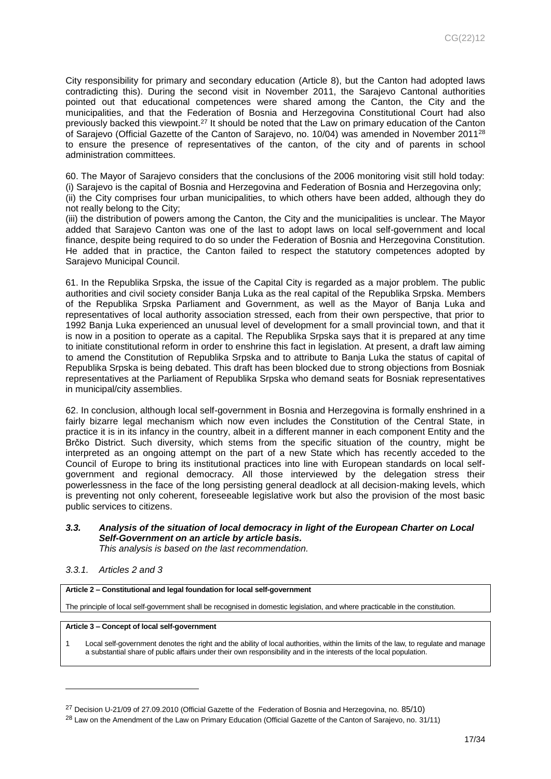City responsibility for primary and secondary education (Article 8), but the Canton had adopted laws contradicting this). During the second visit in November 2011, the Sarajevo Cantonal authorities pointed out that educational competences were shared among the Canton, the City and the municipalities, and that the Federation of Bosnia and Herzegovina Constitutional Court had also previously backed this viewpoint.<sup>27</sup> It should be noted that the Law on primary education of the Canton of Sarajevo (Official Gazette of the Canton of Sarajevo, no. 10/04) was amended in November 2011<sup>28</sup> to ensure the presence of representatives of the canton, of the city and of parents in school administration committees.

60. The Mayor of Sarajevo considers that the conclusions of the 2006 monitoring visit still hold today: (i) Sarajevo is the capital of Bosnia and Herzegovina and Federation of Bosnia and Herzegovina only; (ii) the City comprises four urban municipalities, to which others have been added, although they do not really belong to the City;

(iii) the distribution of powers among the Canton, the City and the municipalities is unclear. The Mayor added that Sarajevo Canton was one of the last to adopt laws on local self-government and local finance, despite being required to do so under the Federation of Bosnia and Herzegovina Constitution. He added that in practice, the Canton failed to respect the statutory competences adopted by Sarajevo Municipal Council.

61. In the Republika Srpska, the issue of the Capital City is regarded as a major problem. The public authorities and civil society consider Banja Luka as the real capital of the Republika Srpska. Members of the Republika Srpska Parliament and Government, as well as the Mayor of Banja Luka and representatives of local authority association stressed, each from their own perspective, that prior to 1992 Banja Luka experienced an unusual level of development for a small provincial town, and that it is now in a position to operate as a capital. The Republika Srpska says that it is prepared at any time to initiate constitutional reform in order to enshrine this fact in legislation. At present, a draft law aiming to amend the Constitution of Republika Srpska and to attribute to Banja Luka the status of capital of Republika Srpska is being debated. This draft has been blocked due to strong objections from Bosniak representatives at the Parliament of Republika Srpska who demand seats for Bosniak representatives in municipal/city assemblies.

62. In conclusion, although local self-government in Bosnia and Herzegovina is formally enshrined in a fairly bizarre legal mechanism which now even includes the Constitution of the Central State, in practice it is in its infancy in the country, albeit in a different manner in each component Entity and the Brčko District. Such diversity, which stems from the specific situation of the country, might be interpreted as an ongoing attempt on the part of a new State which has recently acceded to the Council of Europe to bring its institutional practices into line with European standards on local selfgovernment and regional democracy. All those interviewed by the delegation stress their powerlessness in the face of the long persisting general deadlock at all decision-making levels, which is preventing not only coherent, foreseeable legislative work but also the provision of the most basic public services to citizens.

# <span id="page-16-0"></span>*3.3. Analysis of the situation of local democracy in light of the European Charter on Local Self-Government on an article by article basis.*

*This analysis is based on the last recommendation.*

### <span id="page-16-1"></span>*3.3.1. Articles 2 and 3*

l

**Article 2 – Constitutional and legal foundation for local self-government**

The principle of local self-government shall be recognised in domestic legislation, and where practicable in the constitution.

### **Article 3 – Concept of local self-government**

1 Local self-government denotes the right and the ability of local authorities, within the limits of the law, to regulate and manage a substantial share of public affairs under their own responsibility and in the interests of the local population.

 $^{27}$  Decision U-21/09 of 27.09.2010 (Official Gazette of the Federation of Bosnia and Herzegovina, no. 85/10)

<sup>&</sup>lt;sup>28</sup> Law on the Amendment of the Law on Primary Education (Official Gazette of the Canton of Sarajevo, no. 31/11)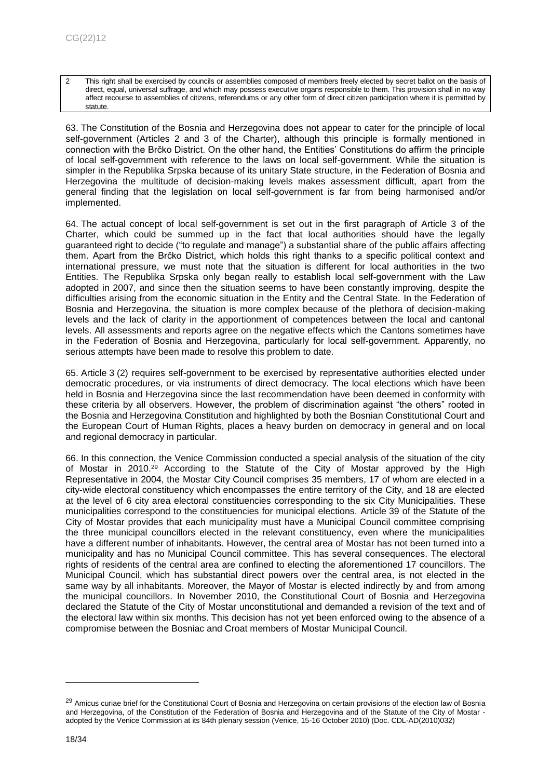2 This right shall be exercised by councils or assemblies composed of members freely elected by secret ballot on the basis of direct, equal, universal suffrage, and which may possess executive organs responsible to them. This provision shall in no way affect recourse to assemblies of citizens, referendums or any other form of direct citizen participation where it is permitted by statute.

63. The Constitution of the Bosnia and Herzegovina does not appear to cater for the principle of local self-government (Articles 2 and 3 of the Charter), although this principle is formally mentioned in connection with the Brčko District. On the other hand, the Entities' Constitutions do affirm the principle of local self-government with reference to the laws on local self-government. While the situation is simpler in the Republika Srpska because of its unitary State structure, in the Federation of Bosnia and Herzegovina the multitude of decision-making levels makes assessment difficult, apart from the general finding that the legislation on local self-government is far from being harmonised and/or implemented.

64. The actual concept of local self-government is set out in the first paragraph of Article 3 of the Charter, which could be summed up in the fact that local authorities should have the legally guaranteed right to decide ("to regulate and manage") a substantial share of the public affairs affecting them. Apart from the Brčko District, which holds this right thanks to a specific political context and international pressure, we must note that the situation is different for local authorities in the two Entities. The Republika Srpska only began really to establish local self-government with the Law adopted in 2007, and since then the situation seems to have been constantly improving, despite the difficulties arising from the economic situation in the Entity and the Central State. In the Federation of Bosnia and Herzegovina, the situation is more complex because of the plethora of decision-making levels and the lack of clarity in the apportionment of competences between the local and cantonal levels. All assessments and reports agree on the negative effects which the Cantons sometimes have in the Federation of Bosnia and Herzegovina, particularly for local self-government. Apparently, no serious attempts have been made to resolve this problem to date.

65. Article 3 (2) requires self-government to be exercised by representative authorities elected under democratic procedures, or via instruments of direct democracy. The local elections which have been held in Bosnia and Herzegovina since the last recommendation have been deemed in conformity with these criteria by all observers. However, the problem of discrimination against "the others" rooted in the Bosnia and Herzegovina Constitution and highlighted by both the Bosnian Constitutional Court and the European Court of Human Rights, places a heavy burden on democracy in general and on local and regional democracy in particular.

66. In this connection, the Venice Commission conducted a special analysis of the situation of the city of Mostar in 2010.<sup>29</sup> According to the Statute of the City of Mostar approved by the High Representative in 2004, the Mostar City Council comprises 35 members, 17 of whom are elected in a city-wide electoral constituency which encompasses the entire territory of the City, and 18 are elected at the level of 6 city area electoral constituencies corresponding to the six City Municipalities. These municipalities correspond to the constituencies for municipal elections. Article 39 of the Statute of the City of Mostar provides that each municipality must have a Municipal Council committee comprising the three municipal councillors elected in the relevant constituency, even where the municipalities have a different number of inhabitants. However, the central area of Mostar has not been turned into a municipality and has no Municipal Council committee. This has several consequences. The electoral rights of residents of the central area are confined to electing the aforementioned 17 councillors. The Municipal Council, which has substantial direct powers over the central area, is not elected in the same way by all inhabitants. Moreover, the Mayor of Mostar is elected indirectly by and from among the municipal councillors. In November 2010, the Constitutional Court of Bosnia and Herzegovina declared the Statute of the City of Mostar unconstitutional and demanded a revision of the text and of the electoral law within six months. This decision has not yet been enforced owing to the absence of a compromise between the Bosniac and Croat members of Mostar Municipal Council.

<sup>&</sup>lt;sup>29</sup> Amicus curiae brief for the Constitutional Court of Bosnia and Herzegovina on certain provisions of the election law of Bosnia and Herzegovina, of the Constitution of the Federation of Bosnia and Herzegovina and of the Statute of the City of Mostar adopted by the Venice Commission at its 84th plenary session (Venice, 15-16 October 2010) (Doc. CDL-AD(2010)032)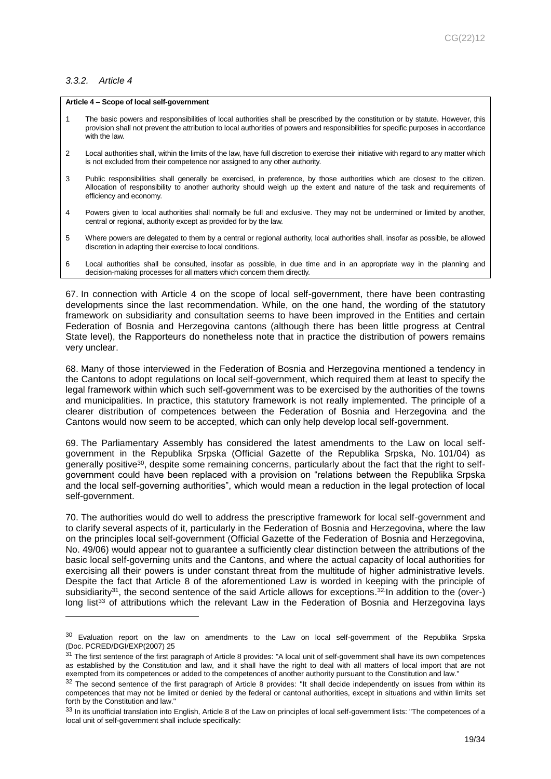### <span id="page-18-0"></span>*3.3.2. Article 4*

l

### **Article 4 – Scope of local self-government**

- 1 The basic powers and responsibilities of local authorities shall be prescribed by the constitution or by statute. However, this provision shall not prevent the attribution to local authorities of powers and responsibilities for specific purposes in accordance with the law.
- 2 Local authorities shall, within the limits of the law, have full discretion to exercise their initiative with regard to any matter which is not excluded from their competence nor assigned to any other authority.
- 3 Public responsibilities shall generally be exercised, in preference, by those authorities which are closest to the citizen. Allocation of responsibility to another authority should weigh up the extent and nature of the task and requirements of efficiency and economy.
- 4 Powers given to local authorities shall normally be full and exclusive. They may not be undermined or limited by another, central or regional, authority except as provided for by the law.
- 5 Where powers are delegated to them by a central or regional authority, local authorities shall, insofar as possible, be allowed discretion in adapting their exercise to local conditions.
- 6 Local authorities shall be consulted, insofar as possible, in due time and in an appropriate way in the planning and decision-making processes for all matters which concern them directly.

67. In connection with Article 4 on the scope of local self-government, there have been contrasting developments since the last recommendation. While, on the one hand, the wording of the statutory framework on subsidiarity and consultation seems to have been improved in the Entities and certain Federation of Bosnia and Herzegovina cantons (although there has been little progress at Central State level), the Rapporteurs do nonetheless note that in practice the distribution of powers remains very unclear.

68. Many of those interviewed in the Federation of Bosnia and Herzegovina mentioned a tendency in the Cantons to adopt regulations on local self-government, which required them at least to specify the legal framework within which such self-government was to be exercised by the authorities of the towns and municipalities. In practice, this statutory framework is not really implemented. The principle of a clearer distribution of competences between the Federation of Bosnia and Herzegovina and the Cantons would now seem to be accepted, which can only help develop local self-government.

69. The Parliamentary Assembly has considered the latest amendments to the Law on local selfgovernment in the Republika Srpska (Official Gazette of the Republika Srpska, No. 101/04) as generally positive30, despite some remaining concerns, particularly about the fact that the right to selfgovernment could have been replaced with a provision on "relations between the Republika Srpska and the local self-governing authorities", which would mean a reduction in the legal protection of local self-government.

70. The authorities would do well to address the prescriptive framework for local self-government and to clarify several aspects of it, particularly in the Federation of Bosnia and Herzegovina, where the law on the principles local self-government (Official Gazette of the Federation of Bosnia and Herzegovina, No. 49/06) would appear not to guarantee a sufficiently clear distinction between the attributions of the basic local self-governing units and the Cantons, and where the actual capacity of local authorities for exercising all their powers is under constant threat from the multitude of higher administrative levels. Despite the fact that Article 8 of the aforementioned Law is worded in keeping with the principle of subsidiarity<sup>31</sup>, the second sentence of the said Article allows for exceptions.<sup>32</sup> In addition to the (over-) long list<sup>33</sup> of attributions which the relevant Law in the Federation of Bosnia and Herzegovina lays

<sup>&</sup>lt;sup>30</sup> Evaluation report on the law on amendments to the Law on local self-government of the Republika Srpska (Doc. PCRED/DGI/EXP(2007) 25

<sup>&</sup>lt;sup>31</sup> The first sentence of the first paragraph of Article 8 provides: "A local unit of self-government shall have its own competences as established by the Constitution and law, and it shall have the right to deal with all matters of local import that are not exempted from its competences or added to the competences of another authority pursuant to the Constitution and law."

 $32$  The second sentence of the first paragraph of Article 8 provides: "It shall decide independently on issues from within its competences that may not be limited or denied by the federal or cantonal authorities, except in situations and within limits set forth by the Constitution and law."

<sup>33</sup> In its unofficial translation into English, Article 8 of the Law on principles of local self-government lists: "The competences of a local unit of self-government shall include specifically: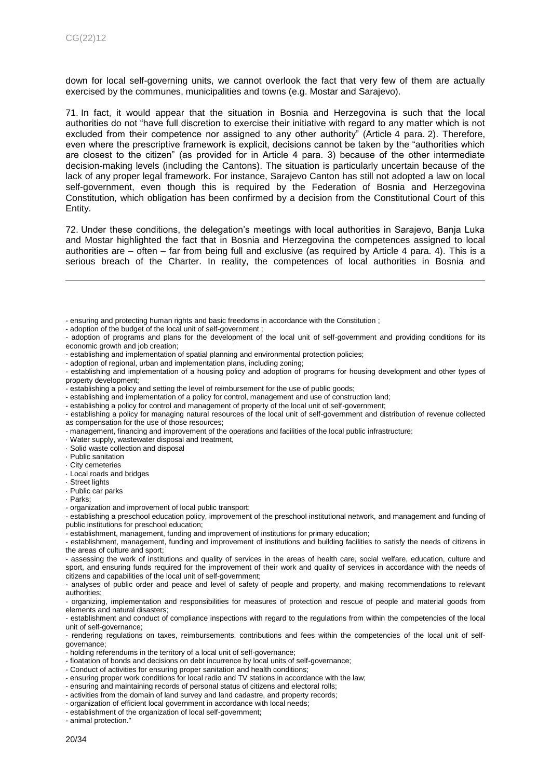down for local self-governing units, we cannot overlook the fact that very few of them are actually exercised by the communes, municipalities and towns (e.g. Mostar and Sarajevo).

71. In fact, it would appear that the situation in Bosnia and Herzegovina is such that the local authorities do not "have full discretion to exercise their initiative with regard to any matter which is not excluded from their competence nor assigned to any other authority" (Article 4 para. 2). Therefore, even where the prescriptive framework is explicit, decisions cannot be taken by the "authorities which are closest to the citizen" (as provided for in Article 4 para. 3) because of the other intermediate decision-making levels (including the Cantons). The situation is particularly uncertain because of the lack of any proper legal framework. For instance, Sarajevo Canton has still not adopted a law on local self-government, even though this is required by the Federation of Bosnia and Herzegovina Constitution, which obligation has been confirmed by a decision from the Constitutional Court of this Entity.

72. Under these conditions, the delegation's meetings with local authorities in Sarajevo, Banja Luka and Mostar highlighted the fact that in Bosnia and Herzegovina the competences assigned to local authorities are – often – far from being full and exclusive (as required by Article 4 para. 4). This is a serious breach of the Charter. In reality, the competences of local authorities in Bosnia and

- adoption of the budget of the local unit of self-government ;

- establishing and implementation of a policy for control, management and use of construction land;
- establishing a policy for control and management of property of the local unit of self-government;
- establishing a policy for managing natural resources of the local unit of self-government and distribution of revenue collected as compensation for the use of those resources;
- management, financing and improvement of the operations and facilities of the local public infrastructure:
- · Water supply, wastewater disposal and treatment,
- · Solid waste collection and disposal
- · Public sanitation
- · City cemeteries
- · Local roads and bridges
- · Street lights
- · Public car parks
- · Parks;

l

- establishing a preschool education policy, improvement of the preschool institutional network, and management and funding of public institutions for preschool education;

- establishment, management, funding and improvement of institutions for primary education;

- establishment, management, funding and improvement of institutions and building facilities to satisfy the needs of citizens in the areas of culture and sport;

- assessing the work of institutions and quality of services in the areas of health care, social welfare, education, culture and sport, and ensuring funds required for the improvement of their work and quality of services in accordance with the needs of citizens and capabilities of the local unit of self-government;

- analyses of public order and peace and level of safety of people and property, and making recommendations to relevant authorities;

- organizing, implementation and responsibilities for measures of protection and rescue of people and material goods from elements and natural disasters;

- establishment and conduct of compliance inspections with regard to the regulations from within the competencies of the local unit of self-governance;

- rendering regulations on taxes, reimbursements, contributions and fees within the competencies of the local unit of selfgovernance;

- holding referendums in the territory of a local unit of self-governance;

- floatation of bonds and decisions on debt incurrence by local units of self-governance;
- Conduct of activities for ensuring proper sanitation and health conditions;
- ensuring proper work conditions for local radio and TV stations in accordance with the law;
- ensuring and maintaining records of personal status of citizens and electoral rolls;
- activities from the domain of land survey and land cadastre, and property records;
- organization of efficient local government in accordance with local needs;
- establishment of the organization of local self-government;

- animal protection."

<sup>-</sup> ensuring and protecting human rights and basic freedoms in accordance with the Constitution ;

<sup>-</sup> adoption of programs and plans for the development of the local unit of self-government and providing conditions for its economic growth and job creation;

<sup>-</sup> establishing and implementation of spatial planning and environmental protection policies;

<sup>-</sup> adoption of regional, urban and implementation plans, including zoning;

<sup>-</sup> establishing and implementation of a housing policy and adoption of programs for housing development and other types of property development;

<sup>-</sup> establishing a policy and setting the level of reimbursement for the use of public goods;

<sup>-</sup> organization and improvement of local public transport;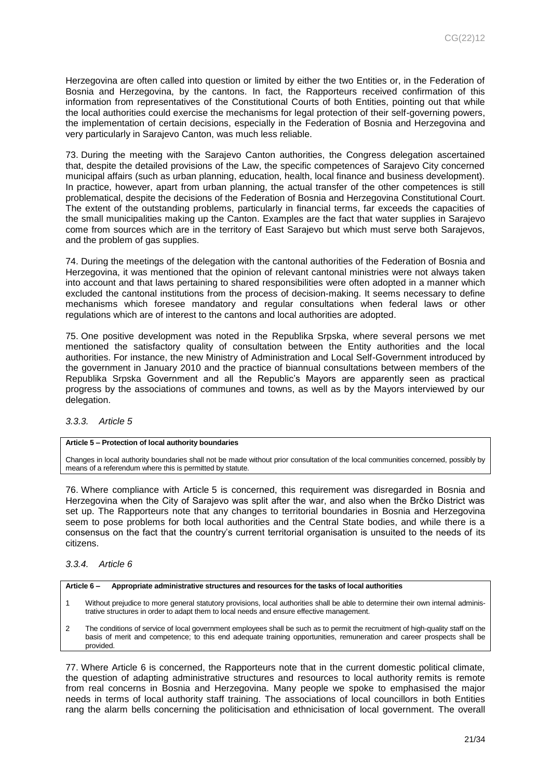Herzegovina are often called into question or limited by either the two Entities or, in the Federation of Bosnia and Herzegovina, by the cantons. In fact, the Rapporteurs received confirmation of this information from representatives of the Constitutional Courts of both Entities, pointing out that while the local authorities could exercise the mechanisms for legal protection of their self-governing powers, the implementation of certain decisions, especially in the Federation of Bosnia and Herzegovina and very particularly in Sarajevo Canton, was much less reliable.

73. During the meeting with the Sarajevo Canton authorities, the Congress delegation ascertained that, despite the detailed provisions of the Law, the specific competences of Sarajevo City concerned municipal affairs (such as urban planning, education, health, local finance and business development). In practice, however, apart from urban planning, the actual transfer of the other competences is still problematical, despite the decisions of the Federation of Bosnia and Herzegovina Constitutional Court. The extent of the outstanding problems, particularly in financial terms, far exceeds the capacities of the small municipalities making up the Canton. Examples are the fact that water supplies in Sarajevo come from sources which are in the territory of East Sarajevo but which must serve both Sarajevos, and the problem of gas supplies.

74. During the meetings of the delegation with the cantonal authorities of the Federation of Bosnia and Herzegovina, it was mentioned that the opinion of relevant cantonal ministries were not always taken into account and that laws pertaining to shared responsibilities were often adopted in a manner which excluded the cantonal institutions from the process of decision-making. It seems necessary to define mechanisms which foresee mandatory and regular consultations when federal laws or other regulations which are of interest to the cantons and local authorities are adopted.

75. One positive development was noted in the Republika Srpska, where several persons we met mentioned the satisfactory quality of consultation between the Entity authorities and the local authorities. For instance, the new Ministry of Administration and Local Self-Government introduced by the government in January 2010 and the practice of biannual consultations between members of the Republika Srpska Government and all the Republic's Mayors are apparently seen as practical progress by the associations of communes and towns, as well as by the Mayors interviewed by our delegation.

### <span id="page-20-0"></span>*3.3.3. Article 5*

### **Article 5 – Protection of local authority boundaries**

Changes in local authority boundaries shall not be made without prior consultation of the local communities concerned, possibly by means of a referendum where this is permitted by statute.

76. Where compliance with Article 5 is concerned, this requirement was disregarded in Bosnia and Herzegovina when the City of Sarajevo was split after the war, and also when the Brčko District was set up. The Rapporteurs note that any changes to territorial boundaries in Bosnia and Herzegovina seem to pose problems for both local authorities and the Central State bodies, and while there is a consensus on the fact that the country's current territorial organisation is unsuited to the needs of its citizens.

### <span id="page-20-1"></span>*3.3.4. Article 6*



- 1 Without prejudice to more general statutory provisions, local authorities shall be able to determine their own internal administrative structures in order to adapt them to local needs and ensure effective management.
- 2 The conditions of service of local government employees shall be such as to permit the recruitment of high-quality staff on the basis of merit and competence; to this end adequate training opportunities, remuneration and career prospects shall be provided.

77. Where Article 6 is concerned, the Rapporteurs note that in the current domestic political climate, the question of adapting administrative structures and resources to local authority remits is remote from real concerns in Bosnia and Herzegovina. Many people we spoke to emphasised the major needs in terms of local authority staff training. The associations of local councillors in both Entities rang the alarm bells concerning the politicisation and ethnicisation of local government. The overall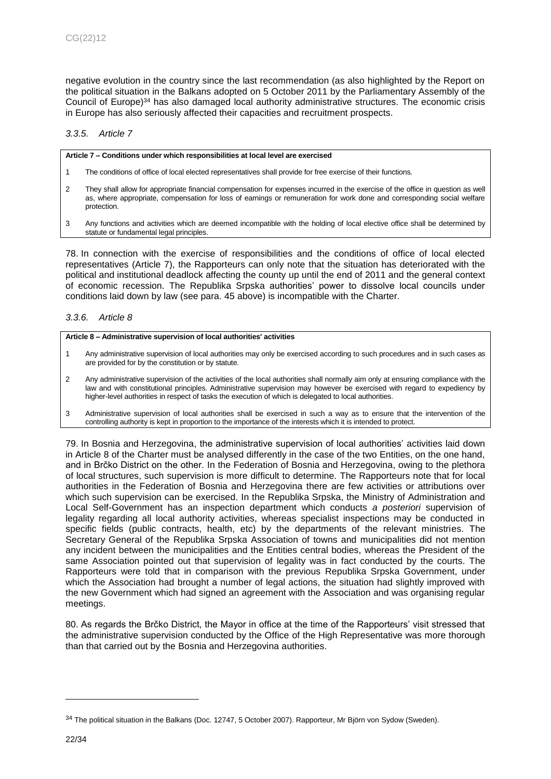negative evolution in the country since the last recommendation (as also highlighted by the Report on the political situation in the Balkans adopted on 5 October 2011 by the Parliamentary Assembly of the Council of Europe) $34$  has also damaged local authority administrative structures. The economic crisis in Europe has also seriously affected their capacities and recruitment prospects.

# <span id="page-21-0"></span>*3.3.5. Article 7*

#### **Article 7 – Conditions under which responsibilities at local level are exercised**

- 1 The conditions of office of local elected representatives shall provide for free exercise of their functions.
- 2 They shall allow for appropriate financial compensation for expenses incurred in the exercise of the office in question as well as, where appropriate, compensation for loss of earnings or remuneration for work done and corresponding social welfare protection.
- 3 Any functions and activities which are deemed incompatible with the holding of local elective office shall be determined by statute or fundamental legal principles.

78. In connection with the exercise of responsibilities and the conditions of office of local elected representatives (Article 7), the Rapporteurs can only note that the situation has deteriorated with the political and institutional deadlock affecting the county up until the end of 2011 and the general context of economic recession. The Republika Srpska authorities' power to dissolve local councils under conditions laid down by law (see para. 45 above) is incompatible with the Charter.

### <span id="page-21-1"></span>*3.3.6. Article 8*

#### **Article 8 – Administrative supervision of local authorities' activities**

- 1 Any administrative supervision of local authorities may only be exercised according to such procedures and in such cases as are provided for by the constitution or by statute.
- 2 Any administrative supervision of the activities of the local authorities shall normally aim only at ensuring compliance with the law and with constitutional principles. Administrative supervision may however be exercised with regard to expediency by higher-level authorities in respect of tasks the execution of which is delegated to local authorities.
- 3 Administrative supervision of local authorities shall be exercised in such a way as to ensure that the intervention of the controlling authority is kept in proportion to the importance of the interests which it is intended to protect.

79. In Bosnia and Herzegovina, the administrative supervision of local authorities' activities laid down in Article 8 of the Charter must be analysed differently in the case of the two Entities, on the one hand, and in Brčko District on the other. In the Federation of Bosnia and Herzegovina, owing to the plethora of local structures, such supervision is more difficult to determine. The Rapporteurs note that for local authorities in the Federation of Bosnia and Herzegovina there are few activities or attributions over which such supervision can be exercised. In the Republika Srpska, the Ministry of Administration and Local Self-Government has an inspection department which conducts *a posteriori* supervision of legality regarding all local authority activities, whereas specialist inspections may be conducted in specific fields (public contracts, health, etc) by the departments of the relevant ministries. The Secretary General of the Republika Srpska Association of towns and municipalities did not mention any incident between the municipalities and the Entities central bodies, whereas the President of the same Association pointed out that supervision of legality was in fact conducted by the courts. The Rapporteurs were told that in comparison with the previous Republika Srpska Government, under which the Association had brought a number of legal actions, the situation had slightly improved with the new Government which had signed an agreement with the Association and was organising regular meetings.

80. As regards the Brčko District, the Mayor in office at the time of the Rapporteurs' visit stressed that the administrative supervision conducted by the Office of the High Representative was more thorough than that carried out by the Bosnia and Herzegovina authorities.

<sup>34</sup> The political situation in the Balkans (Doc. 12747, 5 October 2007). Rapporteur, Mr Björn von Sydow (Sweden).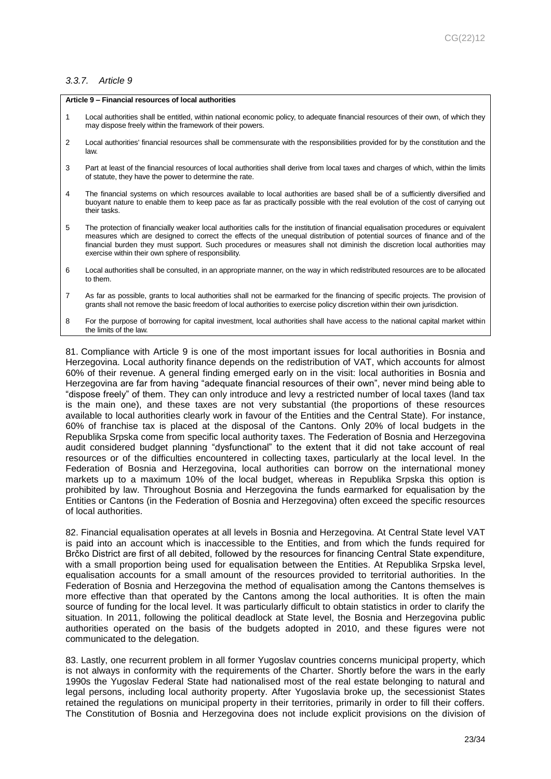### <span id="page-22-0"></span>*3.3.7. Article 9*

#### **Article 9 – Financial resources of local authorities**

- 1 Local authorities shall be entitled, within national economic policy, to adequate financial resources of their own, of which they may dispose freely within the framework of their powers.
- 2 Local authorities' financial resources shall be commensurate with the responsibilities provided for by the constitution and the law.
- 3 Part at least of the financial resources of local authorities shall derive from local taxes and charges of which, within the limits of statute, they have the power to determine the rate.
- 4 The financial systems on which resources available to local authorities are based shall be of a sufficiently diversified and buoyant nature to enable them to keep pace as far as practically possible with the real evolution of the cost of carrying out their tasks.
- 5 The protection of financially weaker local authorities calls for the institution of financial equalisation procedures or equivalent measures which are designed to correct the effects of the unequal distribution of potential sources of finance and of the financial burden they must support. Such procedures or measures shall not diminish the discretion local authorities may exercise within their own sphere of responsibility.
- 6 Local authorities shall be consulted, in an appropriate manner, on the way in which redistributed resources are to be allocated to them.
- 7 As far as possible, grants to local authorities shall not be earmarked for the financing of specific projects. The provision of grants shall not remove the basic freedom of local authorities to exercise policy discretion within their own jurisdiction.
- 8 For the purpose of borrowing for capital investment, local authorities shall have access to the national capital market within the limits of the law.

81. Compliance with Article 9 is one of the most important issues for local authorities in Bosnia and Herzegovina. Local authority finance depends on the redistribution of VAT, which accounts for almost 60% of their revenue. A general finding emerged early on in the visit: local authorities in Bosnia and Herzegovina are far from having "adequate financial resources of their own", never mind being able to "dispose freely" of them. They can only introduce and levy a restricted number of local taxes (land tax is the main one), and these taxes are not very substantial (the proportions of these resources available to local authorities clearly work in favour of the Entities and the Central State). For instance, 60% of franchise tax is placed at the disposal of the Cantons. Only 20% of local budgets in the Republika Srpska come from specific local authority taxes. The Federation of Bosnia and Herzegovina audit considered budget planning "dysfunctional" to the extent that it did not take account of real resources or of the difficulties encountered in collecting taxes, particularly at the local level. In the Federation of Bosnia and Herzegovina, local authorities can borrow on the international money markets up to a maximum 10% of the local budget, whereas in Republika Srpska this option is prohibited by law. Throughout Bosnia and Herzegovina the funds earmarked for equalisation by the Entities or Cantons (in the Federation of Bosnia and Herzegovina) often exceed the specific resources of local authorities.

82. Financial equalisation operates at all levels in Bosnia and Herzegovina. At Central State level VAT is paid into an account which is inaccessible to the Entities, and from which the funds required for Brčko District are first of all debited, followed by the resources for financing Central State expenditure, with a small proportion being used for equalisation between the Entities. At Republika Srpska level, equalisation accounts for a small amount of the resources provided to territorial authorities. In the Federation of Bosnia and Herzegovina the method of equalisation among the Cantons themselves is more effective than that operated by the Cantons among the local authorities. It is often the main source of funding for the local level. It was particularly difficult to obtain statistics in order to clarify the situation. In 2011, following the political deadlock at State level, the Bosnia and Herzegovina public authorities operated on the basis of the budgets adopted in 2010, and these figures were not communicated to the delegation.

83. Lastly, one recurrent problem in all former Yugoslav countries concerns municipal property, which is not always in conformity with the requirements of the Charter. Shortly before the wars in the early 1990s the Yugoslav Federal State had nationalised most of the real estate belonging to natural and legal persons, including local authority property. After Yugoslavia broke up, the secessionist States retained the regulations on municipal property in their territories, primarily in order to fill their coffers. The Constitution of Bosnia and Herzegovina does not include explicit provisions on the division of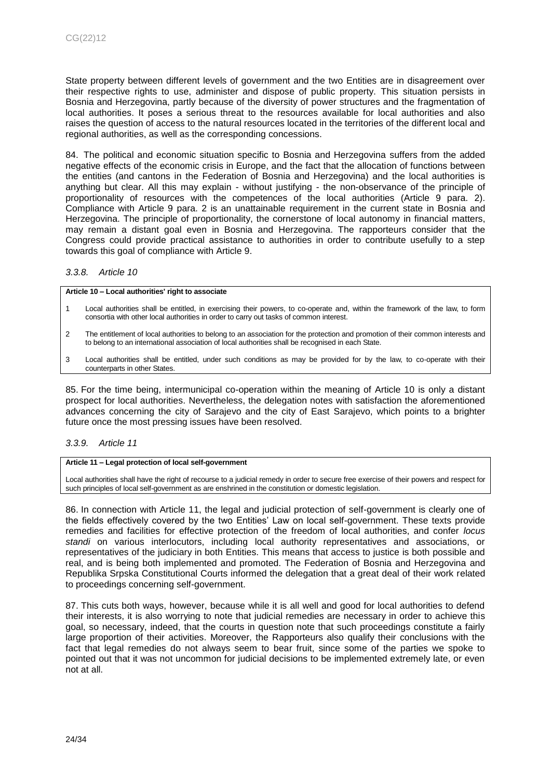State property between different levels of government and the two Entities are in disagreement over their respective rights to use, administer and dispose of public property. This situation persists in Bosnia and Herzegovina, partly because of the diversity of power structures and the fragmentation of local authorities. It poses a serious threat to the resources available for local authorities and also raises the question of access to the natural resources located in the territories of the different local and regional authorities, as well as the corresponding concessions.

84. The political and economic situation specific to Bosnia and Herzegovina suffers from the added negative effects of the economic crisis in Europe, and the fact that the allocation of functions between the entities (and cantons in the Federation of Bosnia and Herzegovina) and the local authorities is anything but clear. All this may explain - without justifying - the non-observance of the principle of proportionality of resources with the competences of the local authorities (Article 9 para. 2). Compliance with Article 9 para. 2 is an unattainable requirement in the current state in Bosnia and Herzegovina. The principle of proportionality, the cornerstone of local autonomy in financial matters, may remain a distant goal even in Bosnia and Herzegovina. The rapporteurs consider that the Congress could provide practical assistance to authorities in order to contribute usefully to a step towards this goal of compliance with Article 9.

### <span id="page-23-0"></span>*3.3.8. Article 10*

**Article 10 – Local authorities' right to associate**

- 1 Local authorities shall be entitled, in exercising their powers, to co-operate and, within the framework of the law, to form consortia with other local authorities in order to carry out tasks of common interest.
- 2 The entitlement of local authorities to belong to an association for the protection and promotion of their common interests and to belong to an international association of local authorities shall be recognised in each State.
- 3 Local authorities shall be entitled, under such conditions as may be provided for by the law, to co-operate with their counterparts in other States.

85. For the time being, intermunicipal co-operation within the meaning of Article 10 is only a distant prospect for local authorities. Nevertheless, the delegation notes with satisfaction the aforementioned advances concerning the city of Sarajevo and the city of East Sarajevo, which points to a brighter future once the most pressing issues have been resolved.

# <span id="page-23-1"></span>*3.3.9. Article 11*

#### **Article 11 – Legal protection of local self-government**

Local authorities shall have the right of recourse to a judicial remedy in order to secure free exercise of their powers and respect for such principles of local self-government as are enshrined in the constitution or domestic legislation.

86. In connection with Article 11, the legal and judicial protection of self-government is clearly one of the fields effectively covered by the two Entities' Law on local self-government. These texts provide remedies and facilities for effective protection of the freedom of local authorities, and confer *locus standi* on various interlocutors, including local authority representatives and associations, or representatives of the judiciary in both Entities. This means that access to justice is both possible and real, and is being both implemented and promoted. The Federation of Bosnia and Herzegovina and Republika Srpska Constitutional Courts informed the delegation that a great deal of their work related to proceedings concerning self-government.

<span id="page-23-2"></span>87. This cuts both ways, however, because while it is all well and good for local authorities to defend their interests, it is also worrying to note that judicial remedies are necessary in order to achieve this goal, so necessary, indeed, that the courts in question note that such proceedings constitute a fairly large proportion of their activities. Moreover, the Rapporteurs also qualify their conclusions with the fact that legal remedies do not always seem to bear fruit, since some of the parties we spoke to pointed out that it was not uncommon for judicial decisions to be implemented extremely late, or even not at all.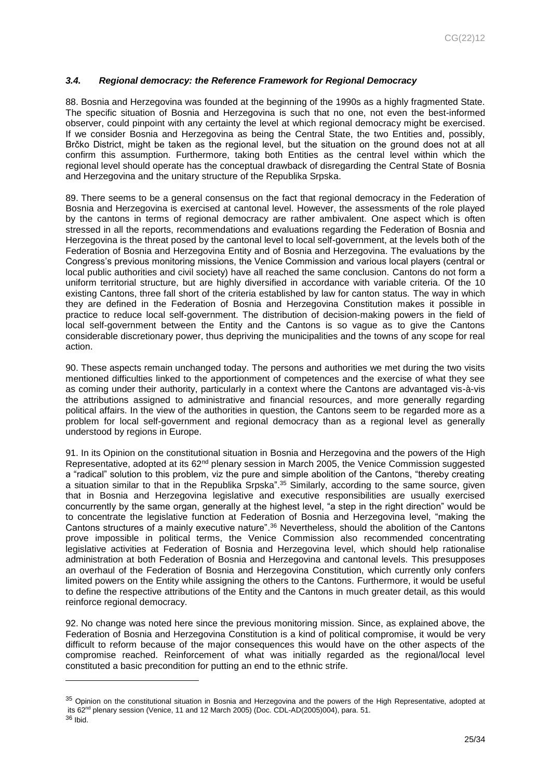# *3.4. Regional democracy: the Reference Framework for Regional Democracy*

88. Bosnia and Herzegovina was founded at the beginning of the 1990s as a highly fragmented State. The specific situation of Bosnia and Herzegovina is such that no one, not even the best-informed observer, could pinpoint with any certainty the level at which regional democracy might be exercised. If we consider Bosnia and Herzegovina as being the Central State, the two Entities and, possibly, Brčko District, might be taken as the regional level, but the situation on the ground does not at all confirm this assumption. Furthermore, taking both Entities as the central level within which the regional level should operate has the conceptual drawback of disregarding the Central State of Bosnia and Herzegovina and the unitary structure of the Republika Srpska.

89. There seems to be a general consensus on the fact that regional democracy in the Federation of Bosnia and Herzegovina is exercised at cantonal level. However, the assessments of the role played by the cantons in terms of regional democracy are rather ambivalent. One aspect which is often stressed in all the reports, recommendations and evaluations regarding the Federation of Bosnia and Herzegovina is the threat posed by the cantonal level to local self-government, at the levels both of the Federation of Bosnia and Herzegovina Entity and of Bosnia and Herzegovina. The evaluations by the Congress's previous monitoring missions, the Venice Commission and various local players (central or local public authorities and civil society) have all reached the same conclusion. Cantons do not form a uniform territorial structure, but are highly diversified in accordance with variable criteria. Of the 10 existing Cantons, three fall short of the criteria established by law for canton status. The way in which they are defined in the Federation of Bosnia and Herzegovina Constitution makes it possible in practice to reduce local self-government. The distribution of decision-making powers in the field of local self-government between the Entity and the Cantons is so vague as to give the Cantons considerable discretionary power, thus depriving the municipalities and the towns of any scope for real action.

90. These aspects remain unchanged today. The persons and authorities we met during the two visits mentioned difficulties linked to the apportionment of competences and the exercise of what they see as coming under their authority, particularly in a context where the Cantons are advantaged vis-à-vis the attributions assigned to administrative and financial resources, and more generally regarding political affairs. In the view of the authorities in question, the Cantons seem to be regarded more as a problem for local self-government and regional democracy than as a regional level as generally understood by regions in Europe.

91. In its Opinion on the constitutional situation in Bosnia and Herzegovina and the powers of the High Representative, adopted at its 62<sup>nd</sup> plenary session in March 2005, the Venice Commission suggested a "radical" solution to this problem, viz the pure and simple abolition of the Cantons, "thereby creating a situation similar to that in the Republika Srpska".<sup>35</sup> Similarly, according to the same source, given that in Bosnia and Herzegovina legislative and executive responsibilities are usually exercised concurrently by the same organ, generally at the highest level, "a step in the right direction" would be to concentrate the legislative function at Federation of Bosnia and Herzegovina level, "making the Cantons structures of a mainly executive nature". <sup>36</sup> Nevertheless, should the abolition of the Cantons prove impossible in political terms, the Venice Commission also recommended concentrating legislative activities at Federation of Bosnia and Herzegovina level, which should help rationalise administration at both Federation of Bosnia and Herzegovina and cantonal levels. This presupposes an overhaul of the Federation of Bosnia and Herzegovina Constitution, which currently only confers limited powers on the Entity while assigning the others to the Cantons. Furthermore, it would be useful to define the respective attributions of the Entity and the Cantons in much greater detail, as this would reinforce regional democracy.

92. No change was noted here since the previous monitoring mission. Since, as explained above, the Federation of Bosnia and Herzegovina Constitution is a kind of political compromise, it would be very difficult to reform because of the major consequences this would have on the other aspects of the compromise reached. Reinforcement of what was initially regarded as the regional/local level constituted a basic precondition for putting an end to the ethnic strife.

<sup>&</sup>lt;sup>35</sup> Opinion on the constitutional situation in Bosnia and Herzegovina and the powers of the High Representative, adopted at its 62<sup>nd</sup> plenary session (Venice, 11 and 12 March 2005) (Doc. CDL-AD(2005)004), para. 51.

<sup>36</sup> Ibid.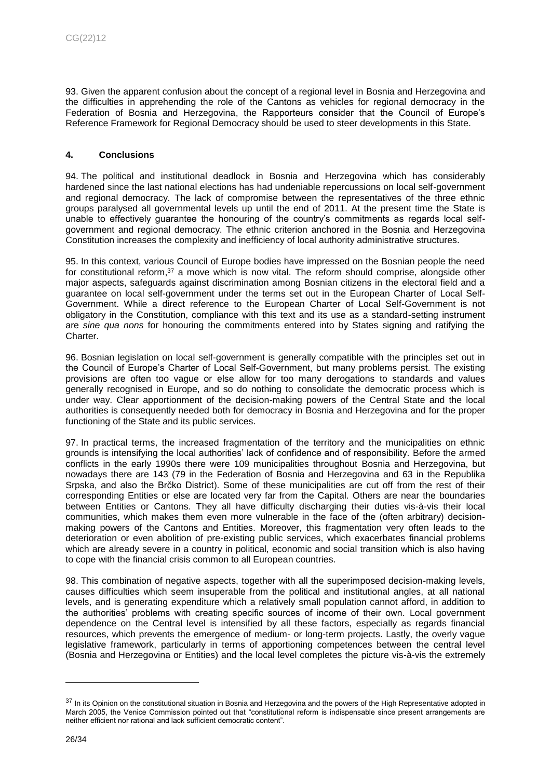93. Given the apparent confusion about the concept of a regional level in Bosnia and Herzegovina and the difficulties in apprehending the role of the Cantons as vehicles for regional democracy in the Federation of Bosnia and Herzegovina, the Rapporteurs consider that the Council of Europe's Reference Framework for Regional Democracy should be used to steer developments in this State.

# <span id="page-25-0"></span>**4. Conclusions**

94. The political and institutional deadlock in Bosnia and Herzegovina which has considerably hardened since the last national elections has had undeniable repercussions on local self-government and regional democracy. The lack of compromise between the representatives of the three ethnic groups paralysed all governmental levels up until the end of 2011. At the present time the State is unable to effectively guarantee the honouring of the country's commitments as regards local selfgovernment and regional democracy. The ethnic criterion anchored in the Bosnia and Herzegovina Constitution increases the complexity and inefficiency of local authority administrative structures.

95. In this context, various Council of Europe bodies have impressed on the Bosnian people the need for constitutional reform,<sup>37</sup> a move which is now vital. The reform should comprise, alongside other major aspects, safeguards against discrimination among Bosnian citizens in the electoral field and a guarantee on local self-government under the terms set out in the European Charter of Local Self-Government. While a direct reference to the European Charter of Local Self-Government is not obligatory in the Constitution, compliance with this text and its use as a standard-setting instrument are *sine qua nons* for honouring the commitments entered into by States signing and ratifying the Charter.

96. Bosnian legislation on local self-government is generally compatible with the principles set out in the Council of Europe's Charter of Local Self-Government, but many problems persist. The existing provisions are often too vague or else allow for too many derogations to standards and values generally recognised in Europe, and so do nothing to consolidate the democratic process which is under way. Clear apportionment of the decision-making powers of the Central State and the local authorities is consequently needed both for democracy in Bosnia and Herzegovina and for the proper functioning of the State and its public services.

97. In practical terms, the increased fragmentation of the territory and the municipalities on ethnic grounds is intensifying the local authorities' lack of confidence and of responsibility. Before the armed conflicts in the early 1990s there were 109 municipalities throughout Bosnia and Herzegovina, but nowadays there are 143 (79 in the Federation of Bosnia and Herzegovina and 63 in the Republika Srpska, and also the Brčko District). Some of these municipalities are cut off from the rest of their corresponding Entities or else are located very far from the Capital. Others are near the boundaries between Entities or Cantons. They all have difficulty discharging their duties vis-à-vis their local communities, which makes them even more vulnerable in the face of the (often arbitrary) decisionmaking powers of the Cantons and Entities. Moreover, this fragmentation very often leads to the deterioration or even abolition of pre-existing public services, which exacerbates financial problems which are already severe in a country in political, economic and social transition which is also having to cope with the financial crisis common to all European countries.

98. This combination of negative aspects, together with all the superimposed decision-making levels, causes difficulties which seem insuperable from the political and institutional angles, at all national levels, and is generating expenditure which a relatively small population cannot afford, in addition to the authorities' problems with creating specific sources of income of their own. Local government dependence on the Central level is intensified by all these factors, especially as regards financial resources, which prevents the emergence of medium- or long-term projects. Lastly, the overly vague legislative framework, particularly in terms of apportioning competences between the central level (Bosnia and Herzegovina or Entities) and the local level completes the picture vis-à-vis the extremely

<sup>&</sup>lt;sup>37</sup> In its Opinion on the constitutional situation in Bosnia and Herzegovina and the powers of the High Representative adopted in March 2005, the Venice Commission pointed out that "constitutional reform is indispensable since present arrangements are neither efficient nor rational and lack sufficient democratic content".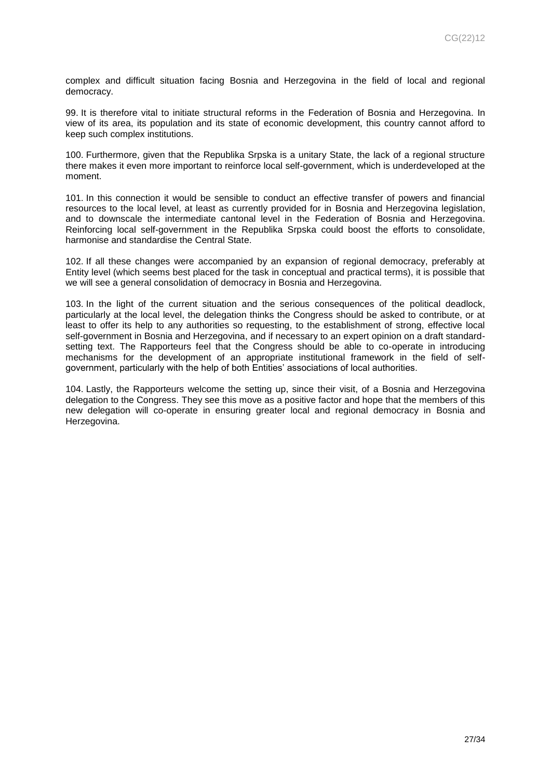complex and difficult situation facing Bosnia and Herzegovina in the field of local and regional democracy.

99. It is therefore vital to initiate structural reforms in the Federation of Bosnia and Herzegovina. In view of its area, its population and its state of economic development, this country cannot afford to keep such complex institutions.

100. Furthermore, given that the Republika Srpska is a unitary State, the lack of a regional structure there makes it even more important to reinforce local self-government, which is underdeveloped at the moment.

101. In this connection it would be sensible to conduct an effective transfer of powers and financial resources to the local level, at least as currently provided for in Bosnia and Herzegovina legislation, and to downscale the intermediate cantonal level in the Federation of Bosnia and Herzegovina. Reinforcing local self-government in the Republika Srpska could boost the efforts to consolidate, harmonise and standardise the Central State.

102. If all these changes were accompanied by an expansion of regional democracy, preferably at Entity level (which seems best placed for the task in conceptual and practical terms), it is possible that we will see a general consolidation of democracy in Bosnia and Herzegovina.

103. In the light of the current situation and the serious consequences of the political deadlock, particularly at the local level, the delegation thinks the Congress should be asked to contribute, or at least to offer its help to any authorities so requesting, to the establishment of strong, effective local self-government in Bosnia and Herzegovina, and if necessary to an expert opinion on a draft standardsetting text. The Rapporteurs feel that the Congress should be able to co-operate in introducing mechanisms for the development of an appropriate institutional framework in the field of selfgovernment, particularly with the help of both Entities' associations of local authorities.

104. Lastly, the Rapporteurs welcome the setting up, since their visit, of a Bosnia and Herzegovina delegation to the Congress. They see this move as a positive factor and hope that the members of this new delegation will co-operate in ensuring greater local and regional democracy in Bosnia and Herzegovina.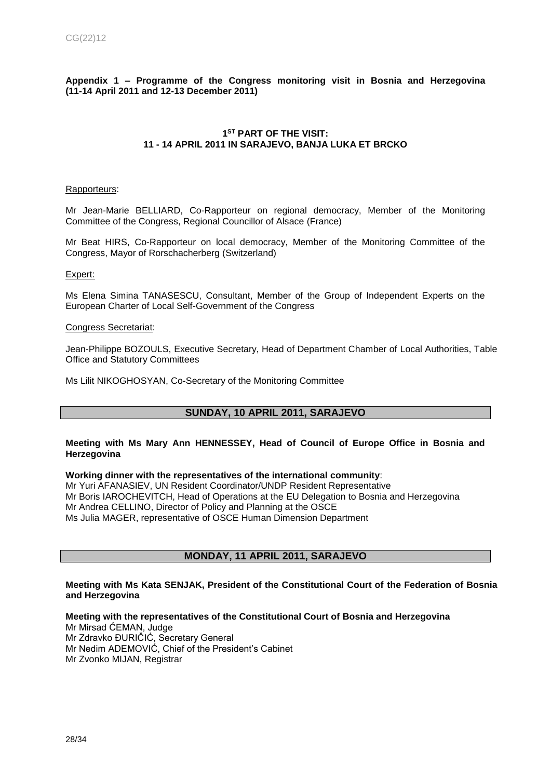# <span id="page-27-0"></span>**Appendix 1 – Programme of the Congress monitoring visit in Bosnia and Herzegovina (11-14 April 2011 and 12-13 December 2011)**

# **1 ST PART OF THE VISIT: 11 - 14 APRIL 2011 IN SARAJEVO, BANJA LUKA ET BRCKO**

### Rapporteurs:

Mr Jean-Marie BELLIARD, Co-Rapporteur on regional democracy, Member of the Monitoring Committee of the Congress, Regional Councillor of Alsace (France)

Mr Beat HIRS, Co-Rapporteur on local democracy, Member of the Monitoring Committee of the Congress, Mayor of Rorschacherberg (Switzerland)

# Expert:

Ms Elena Simina TANASESCU, Consultant, Member of the Group of Independent Experts on the European Charter of Local Self-Government of the Congress

### Congress Secretariat:

Jean-Philippe BOZOULS, Executive Secretary, Head of Department Chamber of Local Authorities, Table Office and Statutory Committees

Ms Lilit NIKOGHOSYAN, Co-Secretary of the Monitoring Committee

# **SUNDAY, 10 APRIL 2011, SARAJEVO**

### **Meeting with Ms Mary Ann HENNESSEY, Head of Council of Europe Office in Bosnia and Herzegovina**

### **Working dinner with the representatives of the international community**:

Mr Yuri AFANASIEV, UN Resident Coordinator/UNDP Resident Representative Mr Boris IAROCHEVITCH, Head of Operations at the EU Delegation to Bosnia and Herzegovina Mr Andrea CELLINO, Director of Policy and Planning at the OSCE Ms Julia MAGER, representative of OSCE Human Dimension Department

# **MONDAY, 11 APRIL 2011, SARAJEVO**

### **Meeting with Ms Kata SENJAK, President of the Constitutional Court of the Federation of Bosnia and Herzegovina**

# **Meeting with the representatives of the Constitutional Court of Bosnia and Herzegovina**

Mr Mirsad ĆEMAN, Judge Mr Zdravko ĐURIČIĆ, Secretary General Mr Nedim ADEMOVIĆ, Chief of the President's Cabinet Mr Zvonko MIJAN, Registrar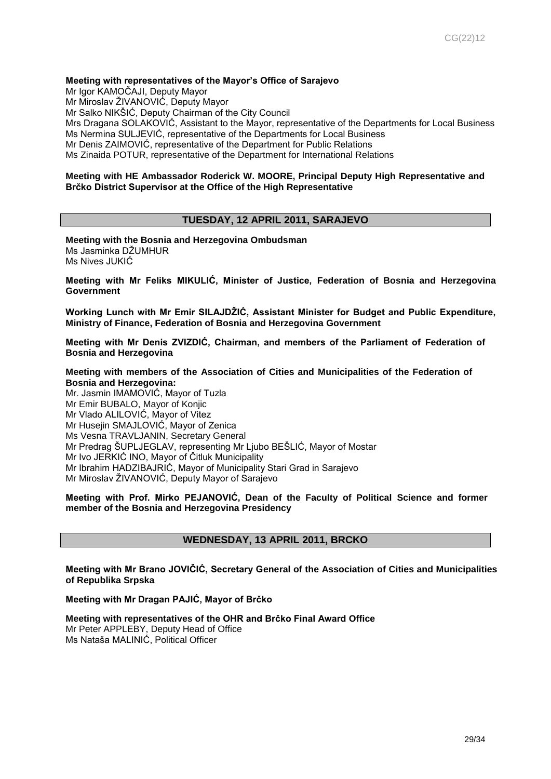### **Meeting with representatives of the Mayor's Office of Sarajevo**

Mr Igor KAMOČAJI, Deputy Mayor Mr Miroslav ŽIVANOVIĆ, Deputy Mayor Mr Salko NIKŠIĆ, Deputy Chairman of the City Council Mrs Dragana SOLAKOVIĆ, Assistant to the Mayor, representative of the Departments for Local Business Ms Nermina SULJEVIĆ, representative of the Departments for Local Business Mr Denis ZAIMOVIĆ, representative of the Department for Public Relations Ms Zinaida POTUR, representative of the Department for International Relations

### **Meeting with HE Ambassador Roderick W. MOORE, Principal Deputy High Representative and Brčko District Supervisor at the Office of the High Representative**

# **TUESDAY, 12 APRIL 2011, SARAJEVO**

**Meeting with the Bosnia and Herzegovina Ombudsman** Ms Jasminka DŽUMHUR Ms Nives JUKIĆ

**Meeting with Mr Feliks MIKULIĆ, Minister of Justice, Federation of Bosnia and Herzegovina Government**

**Working Lunch with Mr Emir SILAJDŽIĆ, Assistant Minister for Budget and Public Expenditure, Ministry of Finance, Federation of Bosnia and Herzegovina Government**

**Meeting with Mr Denis ZVIZDIĆ, Chairman, and members of the Parliament of Federation of Bosnia and Herzegovina**

**Meeting with members of the Association of Cities and Municipalities of the Federation of Bosnia and Herzegovina:**

Mr. Jasmin IMAMOVIĆ, Mayor of Tuzla Mr Emir BUBALO, Mayor of Konjic Mr Vlado ALILOVIĆ, Mayor of Vitez Mr Husejin SMAJLOVIĆ, Mayor of Zenica Ms Vesna TRAVLJANIN, Secretary General Mr Predrag ŠUPLJEGLAV, representing Mr Ljubo BEŠLIĆ, Mayor of Mostar Mr Ivo JERKIĆ INO, Mayor of Čitluk Municipality Mr Ibrahim HADZIBAJRIĆ, Mayor of Municipality Stari Grad in Sarajevo Mr Miroslav ŽIVANOVIĆ, Deputy Mayor of Sarajevo

**Meeting with Prof. Mirko PEJANOVIĆ, Dean of the Faculty of Political Science and former member of the Bosnia and Herzegovina Presidency**

# **WEDNESDAY, 13 APRIL 2011, BRCKO**

**Meeting with Mr Brano JOVIČIĆ, Secretary General of the Association of Cities and Municipalities of Republika Srpska**

#### **Meeting with Mr Dragan PAJIĆ, Mayor of Brčko**

**Meeting with representatives of the OHR and Brčko Final Award Office**

Mr Peter APPLEBY, Deputy Head of Office Ms Nataša MALINIĆ, Political Officer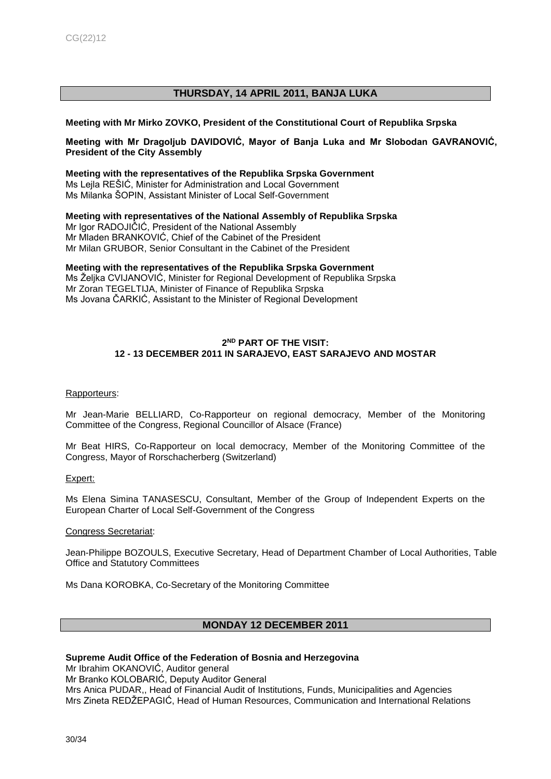# **THURSDAY, 14 APRIL 2011, BANJA LUKA**

### **Meeting with Mr Mirko ZOVKO, President of the Constitutional Court of Republika Srpska**

# **Meeting with Mr Dragoljub DAVIDOVIĆ, Mayor of Banja Luka and Mr Slobodan GAVRANOVIĆ, President of the City Assembly**

**Meeting with the representatives of the Republika Srpska Government** Ms Lejla REŠIĆ, Minister for Administration and Local Government Ms Milanka ŠOPIN, Assistant Minister of Local Self-Government

**Meeting with representatives of the National Assembly of Republika Srpska** Mr Igor RADOJIČIĆ, President of the National Assembly Mr Mladen BRANKOVIĆ, Chief of the Cabinet of the President Mr Milan GRUBOR, Senior Consultant in the Cabinet of the President

**Meeting with the representatives of the Republika Srpska Government** Ms Željka CVIJANOVIĆ, Minister for Regional Development of Republika Srpska Mr Zoran TEGELTIJA, Minister of Finance of Republika Srpska Ms Jovana ČARKIĆ, Assistant to the Minister of Regional Development

# **2 ND PART OF THE VISIT: 12 - 13 DECEMBER 2011 IN SARAJEVO, EAST SARAJEVO AND MOSTAR**

### Rapporteurs:

Mr Jean-Marie BELLIARD, Co-Rapporteur on regional democracy, Member of the Monitoring Committee of the Congress, Regional Councillor of Alsace (France)

Mr Beat HIRS, Co-Rapporteur on local democracy, Member of the Monitoring Committee of the Congress, Mayor of Rorschacherberg (Switzerland)

Expert:

Ms Elena Simina TANASESCU, Consultant, Member of the Group of Independent Experts on the European Charter of Local Self-Government of the Congress

### Congress Secretariat:

Jean-Philippe BOZOULS, Executive Secretary, Head of Department Chamber of Local Authorities, Table Office and Statutory Committees

Ms Dana KOROBKA, Co-Secretary of the Monitoring Committee

# **MONDAY 12 DECEMBER 2011**

### **Supreme Audit Office of the Federation of Bosnia and Herzegovina**

Mr Ibrahim OKANOVIĆ, Auditor general Mr Branko KOLOBARIĆ, Deputy Auditor General Mrs Anica PUDAR,, Head of Financial Audit of Institutions, Funds, Municipalities and Agencies Mrs Zineta REDŽEPAGIĆ, Head of Human Resources, Communication and International Relations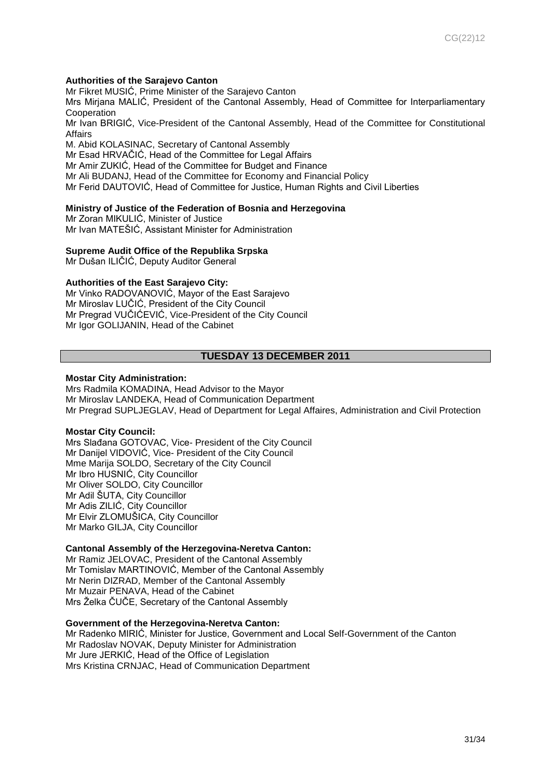# **Authorities of the Sarajevo Canton**

Mr Fikret MUSIĆ, Prime Minister of the Sarajevo Canton

Mrs Mirjana MALIĆ, President of the Cantonal Assembly, Head of Committee for Interparliamentary **Cooperation** 

Mr Ivan BRIGIĆ, Vice-President of the Cantonal Assembly, Head of the Committee for Constitutional Affairs

M. Abid KOLASINAC, Secretary of Cantonal Assembly Mr Esad HRVAČIĆ, Head of the Committee for Legal Affairs Mr Amir ZUKIĆ, Head of the Committee for Budget and Finance Mr Ali BUDANJ, Head of the Committee for Economy and Financial Policy Mr Ferid DAUTOVIĆ, Head of Committee for Justice, Human Rights and Civil Liberties

### **Ministry of Justice of the Federation of Bosnia and Herzegovina**

Mr Zoran MIKULIĆ, Minister of Justice Mr Ivan MATEŠIĆ, Assistant Minister for Administration

### **Supreme Audit Office of the Republika Srpska**

Mr Dušan ILIČIĆ, Deputy Auditor General

# **Authorities of the East Sarajevo City:**

Mr Vinko RADOVANOVIĆ, Mayor of the East Sarajevo Mr Miroslav LUČIĆ, President of the City Council Mr Pregrad VUČIĆEVIĆ, Vice-President of the City Council Mr Igor GOLIJANIN, Head of the Cabinet

# **TUESDAY 13 DECEMBER 2011**

### **Mostar City Administration:**

Mrs Radmila KOMADINA, Head Advisor to the Mayor Mr Miroslav LANDEKA, Head of Communication Department Mr Pregrad SUPLJEGLAV, Head of Department for Legal Affaires, Administration and Civil Protection

### **Mostar City Council:**

Mrs Slađana GOTOVAC, Vice- President of the City Council Mr Danijel VIDOVIĆ, Vice- President of the City Council Mme Marija SOLDO, Secretary of the City Council Mr Ibro HUSNIĆ, City Councillor Mr Oliver SOLDO, City Councillor Mr Adil ŠUTA, City Councillor Mr Adis ZILIĆ, City Councillor Mr Elvir ZLOMUŠICA, City Councillor Mr Marko GILJA, City Councillor

### **Cantonal Assembly of the Herzegovina-Neretva Canton:**

Mr Ramiz JELOVAC, President of the Cantonal Assembly Mr Tomislav MARTINOVIĆ, Member of the Cantonal Assembly Mr Nerin DIZRAD, Member of the Cantonal Assembly Mr Muzair PENAVA, Head of the Cabinet Mrs Želka ČUČE, Secretary of the Cantonal Assembly

### **Government of the Herzegovina-Neretva Canton:**

Mr Radenko MIRIĆ, Minister for Justice, Government and Local Self-Government of the Canton Mr Radoslav NOVAK, Deputy Minister for Administration Mr Jure JERKIĆ, Head of the Office of Legislation Mrs Kristina CRNJAC, Head of Communication Department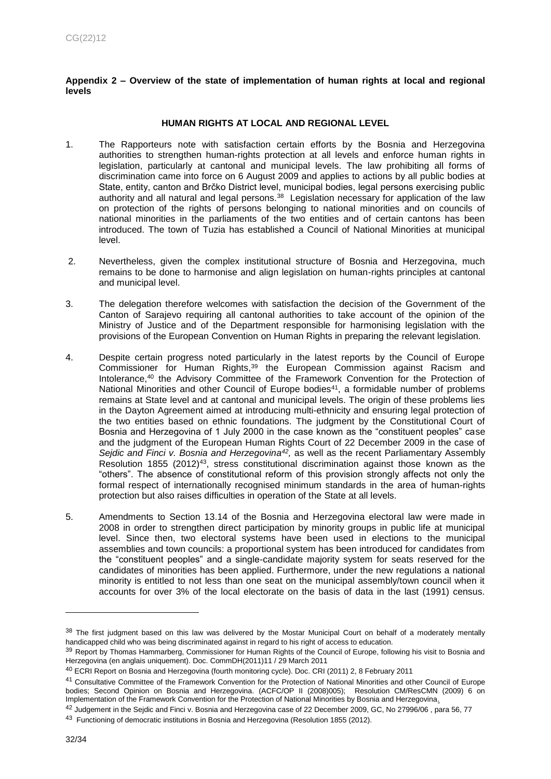<span id="page-31-0"></span>**Appendix 2 – Overview of the state of implementation of human rights at local and regional levels**

# **HUMAN RIGHTS AT LOCAL AND REGIONAL LEVEL**

- 1. The Rapporteurs note with satisfaction certain efforts by the Bosnia and Herzegovina authorities to strengthen human-rights protection at all levels and enforce human rights in legislation, particularly at cantonal and municipal levels. The law prohibiting all forms of discrimination came into force on 6 August 2009 and applies to actions by all public bodies at State, entity, canton and Brčko District level, municipal bodies, legal persons exercising public authority and all natural and legal persons.<sup>38</sup> Legislation necessary for application of the law on protection of the rights of persons belonging to national minorities and on councils of national minorities in the parliaments of the two entities and of certain cantons has been introduced. The town of Tuzia has established a Council of National Minorities at municipal level.
- 2. Nevertheless, given the complex institutional structure of Bosnia and Herzegovina, much remains to be done to harmonise and align legislation on human-rights principles at cantonal and municipal level.
- 3. The delegation therefore welcomes with satisfaction the decision of the Government of the Canton of Sarajevo requiring all cantonal authorities to take account of the opinion of the Ministry of Justice and of the Department responsible for harmonising legislation with the provisions of the European Convention on Human Rights in preparing the relevant legislation.
- 4. Despite certain progress noted particularly in the latest reports by the Council of Europe Commissioner for Human Rights,<sup>39</sup> the European Commission against Racism and Intolerance,<sup>40</sup> the Advisory Committee of the Framework Convention for the Protection of National Minorities and other Council of Europe bodies<sup>41</sup>, a formidable number of problems remains at State level and at cantonal and municipal levels. The origin of these problems lies in the Dayton Agreement aimed at introducing multi-ethnicity and ensuring legal protection of the two entities based on ethnic foundations. The judgment by the Constitutional Court of Bosnia and Herzegovina of 1 July 2000 in the case known as the "constituent peoples" case and the judgment of the European Human Rights Court of 22 December 2009 in the case of *Sejdic and Finci v. Bosnia and Herzegovina<sup>42</sup> ,* as well as the recent Parliamentary Assembly Resolution 1855 (2012)<sup>43</sup>, stress constitutional discrimination against those known as the "others". The absence of constitutional reform of this provision strongly affects not only the formal respect of internationally recognised minimum standards in the area of human-rights protection but also raises difficulties in operation of the State at all levels.
- 5. Amendments to Section 13.14 of the Bosnia and Herzegovina electoral law were made in 2008 in order to strengthen direct participation by minority groups in public life at municipal level. Since then, two electoral systems have been used in elections to the municipal assemblies and town councils: a proportional system has been introduced for candidates from the "constituent peoples" and a single-candidate majority system for seats reserved for the candidates of minorities has been applied. Furthermore, under the new regulations a national minority is entitled to not less than one seat on the municipal assembly/town council when it accounts for over 3% of the local electorate on the basis of data in the last (1991) census.

<sup>38</sup> The first judgment based on this law was delivered by the Mostar Municipal Court on behalf of a moderately mentally handicapped child who was being discriminated against in regard to his right of access to education.

<sup>39</sup> Report by Thomas Hammarberg, Commissioner for Human Rights of the Council of Europe, following his visit to Bosnia and [Herzegovina \(en anglais uniquement\). Doc. CommDH\(2011\)11 / 29 March 2011](https://wcd.coe.int/ViewDoc.jsp?id=1766837&Site=CommDH&BackColorInternet=FEC65B&BackColorIntranet=FEC65B&BackColorLogged=FFC679)

<sup>40</sup> [ECRI Report on Bosnia and Herzegovina \(fourth monitoring cycle\). Doc. CRI \(2011\) 2, 8 February 2011](http://www.coe.int/t/dghl/monitoring/ecri/Country-by-country/Bosnia_Herzegovina/BIH-CBC-IV-2011-002-ENG.pdf)

<sup>41</sup> [Consultative Committee of the Framework Convention for the Protection of National Minorities and other Council of Europe](https://wcd.coe.int/ViewDoc.jsp?Ref=CM/ResCMN(2009)6&Language=lanEnglish&Ver=original&Site=CM&BackColorInternet=C3C3C3&BackColorIntranet=EDB021&BackColorLogged=F5D383)  [bodies; Second Opinion on Bosnia and Herzegovina. \(ACFC/OP II \(2008\)005\); Resolution CM/ResCMN \(2009\) 6 on](https://wcd.coe.int/ViewDoc.jsp?Ref=CM/ResCMN(2009)6&Language=lanEnglish&Ver=original&Site=CM&BackColorInternet=C3C3C3&BackColorIntranet=EDB021&BackColorLogged=F5D383)  [Implementation of the Framework Convention for the Protection of National Minorities by Bosnia and Herzegovina.](https://wcd.coe.int/ViewDoc.jsp?Ref=CM/ResCMN(2009)6&Language=lanEnglish&Ver=original&Site=CM&BackColorInternet=C3C3C3&BackColorIntranet=EDB021&BackColorLogged=F5D383)

<sup>&</sup>lt;sup>42</sup> Judgement in the Sejdic and Finci v. Bosnia and Herzegovina case of 22 December 2009, GC, No 27996/06, para 56, 77

<sup>&</sup>lt;sup>43</sup> Functioning of democratic institutions in Bosnia and Herzegovina (Resolution 1855 (2012).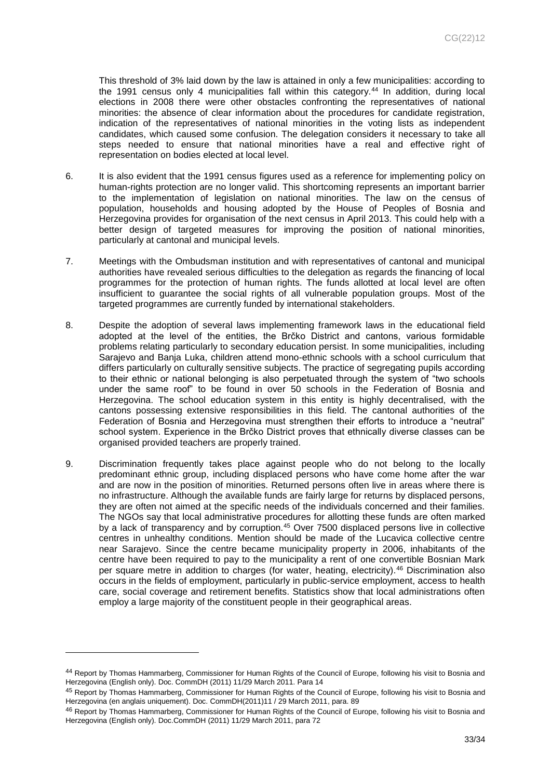This threshold of 3% laid down by the law is attained in only a few municipalities: according to the 1991 census only 4 municipalities fall within this category.<sup>44</sup> In addition, during local elections in 2008 there were other obstacles confronting the representatives of national minorities: the absence of clear information about the procedures for candidate registration, indication of the representatives of national minorities in the voting lists as independent candidates, which caused some confusion. The delegation considers it necessary to take all steps needed to ensure that national minorities have a real and effective right of representation on bodies elected at local level.

- 6. It is also evident that the 1991 census figures used as a reference for implementing policy on human-rights protection are no longer valid. This shortcoming represents an important barrier to the implementation of legislation on national minorities. The law on the census of population, households and housing adopted by the House of Peoples of Bosnia and Herzegovina provides for organisation of the next census in April 2013. This could help with a better design of targeted measures for improving the position of national minorities, particularly at cantonal and municipal levels.
- 7. Meetings with the Ombudsman institution and with representatives of cantonal and municipal authorities have revealed serious difficulties to the delegation as regards the financing of local programmes for the protection of human rights. The funds allotted at local level are often insufficient to guarantee the social rights of all vulnerable population groups. Most of the targeted programmes are currently funded by international stakeholders.
- 8. Despite the adoption of several laws implementing framework laws in the educational field adopted at the level of the entities, the Brčko District and cantons, various formidable problems relating particularly to secondary education persist. In some municipalities, including Sarajevo and Banja Luka, children attend mono-ethnic schools with a school curriculum that differs particularly on culturally sensitive subjects. The practice of segregating pupils according to their ethnic or national belonging is also perpetuated through the system of "two schools under the same roof" to be found in over 50 schools in the Federation of Bosnia and Herzegovina. The school education system in this entity is highly decentralised, with the cantons possessing extensive responsibilities in this field. The cantonal authorities of the Federation of Bosnia and Herzegovina must strengthen their efforts to introduce a "neutral" school system. Experience in the Brčko District proves that ethnically diverse classes can be organised provided teachers are properly trained.
- 9. Discrimination frequently takes place against people who do not belong to the locally predominant ethnic group, including displaced persons who have come home after the war and are now in the position of minorities. Returned persons often live in areas where there is no infrastructure. Although the available funds are fairly large for returns by displaced persons, they are often not aimed at the specific needs of the individuals concerned and their families. The NGOs say that local administrative procedures for allotting these funds are often marked by a lack of transparency and by corruption.<sup>45</sup> Over 7500 displaced persons live in collective centres in unhealthy conditions. Mention should be made of the Lucavica collective centre near Sarajevo. Since the centre became municipality property in 2006, inhabitants of the centre have been required to pay to the municipality a rent of one convertible Bosnian Mark per square metre in addition to charges (for water, heating, electricity).<sup>46</sup> Discrimination also occurs in the fields of employment, particularly in public-service employment, access to health care, social coverage and retirement benefits. Statistics show that local administrations often employ a large majority of the constituent people in their geographical areas.

<sup>44</sup> [Report by Thomas Hammarberg, Commissioner for Human Rights of the Council of Europe, following his visit to Bosnia and](https://wcd.coe.int/ViewDoc.jsp?id=1766837&Site=CommDH&BackColorInternet=FEC65B&BackColorIntranet=FEC65B&BackColorLogged=FFC679)  [Herzegovina \(English only\). Doc. CommDH \(2011\) 11/29 March 2011. Para 14](https://wcd.coe.int/ViewDoc.jsp?id=1766837&Site=CommDH&BackColorInternet=FEC65B&BackColorIntranet=FEC65B&BackColorLogged=FFC679)

<sup>45</sup> Report by Thomas Hammarberg, Commissioner for Human Rights of the Council of Europe, following his visit to Bosnia and [Herzegovina \(en anglais uniquement\). Doc. CommDH\(2011\)11 / 29 March 2011,](https://wcd.coe.int/ViewDoc.jsp?id=1766837&Site=CommDH&BackColorInternet=FEC65B&BackColorIntranet=FEC65B&BackColorLogged=FFC679) para. 89

<sup>46</sup> Report by Thomas Hammarberg, Commissioner for Human Rights of the Council of Europe, following his visit to Bosnia and Herzegovina [\(English only\). Doc.CommDH \(2011\) 11/29 March 2011,](Report%20by%20Thomas%20Hammarberg,%20Commissioner%20for%20Human%20Rights%20of%20the%20Council%20of%20Europe,%20following%20his%20visit%20to%20Bosnia%20and%20Herzegovina%20(en%20anglais%20uniquement).%20Doc.%20CommDH(2011)11%20/%2029%20March%202011) para 72